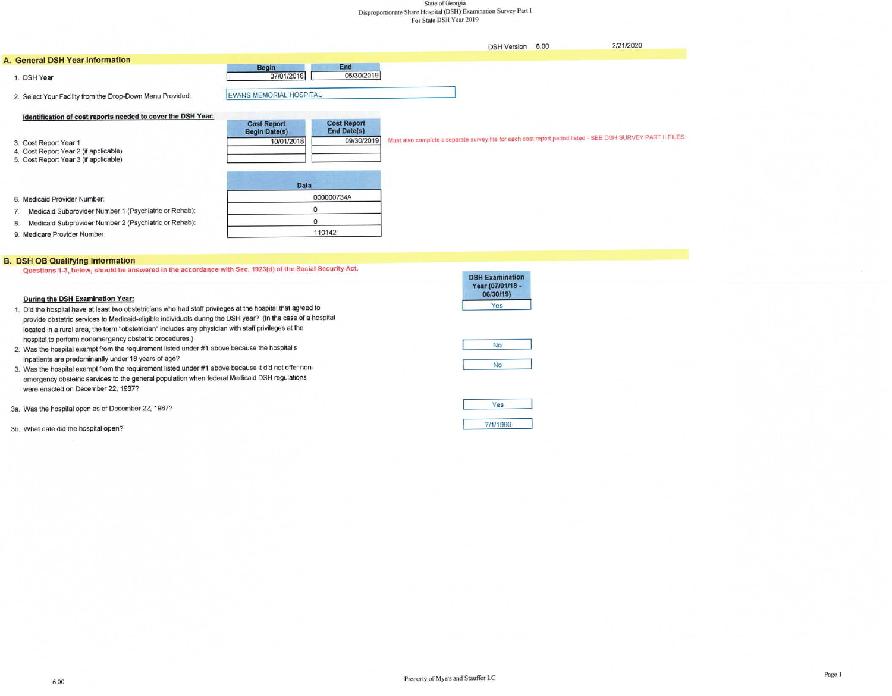#### State of Georgia Disproportionate Share Hospital (DSH) Examination Survey Part I For State DSH Year 2019

|                                                                                                         |                                    |                                  | <b>DSH Version</b> | 6.00 | 2/21/2020                                                                                                   |
|---------------------------------------------------------------------------------------------------------|------------------------------------|----------------------------------|--------------------|------|-------------------------------------------------------------------------------------------------------------|
| A. General DSH Year Information                                                                         |                                    |                                  |                    |      |                                                                                                             |
| 1. DSH Year:                                                                                            | <b>Begin</b><br>07/01/2018         | End<br>06/30/2019                |                    |      |                                                                                                             |
| 2. Select Your Facility from the Drop-Down Menu Provided:                                               | EVANS MEMORIAL HOSPITAL            |                                  |                    |      |                                                                                                             |
| Identification of cost reports needed to cover the DSH Year:                                            | <b>Cost Report</b>                 | <b>Cost Report</b>               |                    |      |                                                                                                             |
| 3. Cost Report Year 1<br>4. Cost Report Year 2 (if applicable)<br>5. Cost Report Year 3 (if applicable) | <b>Begin Date(s)</b><br>10/01/2018 | <b>End Date(s)</b><br>09/30/2019 |                    |      | Must also complete a separate survey file for each cost report period listed - SEE DSH SURVEY PART II FILES |
|                                                                                                         | <b>Data</b>                        |                                  |                    |      |                                                                                                             |
| 6. Medicaid Provider Number.                                                                            |                                    | 000000734A                       |                    |      |                                                                                                             |
| Medicaid Subprovider Number 1 (Psychiatric or Rehab):                                                   | $\Omega$                           |                                  |                    |      |                                                                                                             |
| Medicaid Subprovider Number 2 (Psychiatric or Rehab):<br>8.                                             | $\Omega$                           |                                  |                    |      |                                                                                                             |
| 9 Medicare Provider Number                                                                              |                                    | 110142                           |                    |      |                                                                                                             |

#### 9. Medicare Provider Number.

#### **B. DSH OB Qualifying Information**

Questions 1-3, below, should be answered in the accordance with Sec. 1923(d) of the Social Security Act.

#### During the DSH Examination Year:

- 1. Did the hospital have at least two obstetricians who had staff privileges at the hospital that agreed to provide obstetric services to Medicaid-eligible individuals during the DSH year? (In the case of a hospital located in a rural area, the term "obstetrician" includes any physician with staff privileges at the hospital to perform nonemergency obstetric procedures.)
- 2. Was the hospital exempt from the requirement listed under #1 above because the hospital's inpatients are predominantly under 18 years of age?
- 3. Was the hospital exempt from the requirement listed under #1 above because it did not offer nonemergency obstetric services to the general population when federal Medicaid DSH regulations were enacted on December 22, 1987?

3a. Was the hospital open as of December 22, 1987?

3b. What date did the hospital open?

| DSH Examination<br>Year (07/01/18 -<br>06/30/19) |
|--------------------------------------------------|
| Yes                                              |
| <b>No</b>                                        |
| No                                               |
| Yes                                              |

7/1/1966

**Contract and contract of the Contract Contract Contract Contract Contract Contract Contract Contract Contract Contract Contract Contract Contract Contract Contract Contract Contract Contract Contract Contract Contract Con**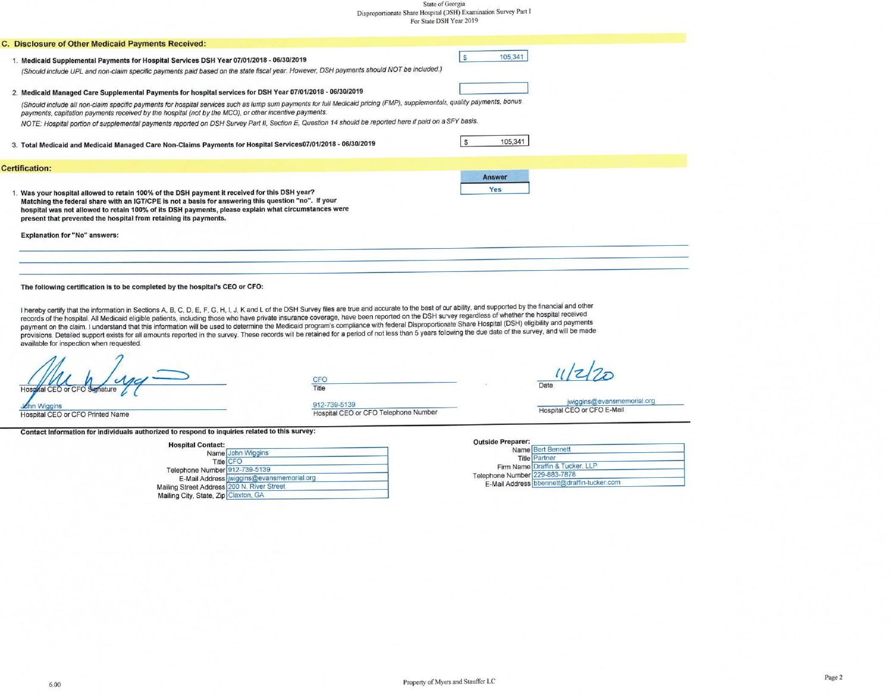# $\begin{minipage}{.4\linewidth} State of Georgia \\ Disproportionate Share Hospital (DSH) Examination Survey Part I \\ For State DSH Year 2019 \\ \end{minipage}$

| C. Disclosure of Other Medicaid Payments Received:                                                                                                                                                                                                                                                                                                                                                                                                                                                                                                                                                                                                                                                                                                                                                                          |               |
|-----------------------------------------------------------------------------------------------------------------------------------------------------------------------------------------------------------------------------------------------------------------------------------------------------------------------------------------------------------------------------------------------------------------------------------------------------------------------------------------------------------------------------------------------------------------------------------------------------------------------------------------------------------------------------------------------------------------------------------------------------------------------------------------------------------------------------|---------------|
| 1. Medicaid Supplemental Payments for Hospital Services DSH Year 07/01/2018 - 06/30/2019<br>(Should include UPL and non-claim specific payments paid based on the state fiscal year. However, DSH payments should NOT be included.)                                                                                                                                                                                                                                                                                                                                                                                                                                                                                                                                                                                         | 105,341       |
| 2. Medicaid Managed Care Supplemental Payments for hospital services for DSH Year 07/01/2018 - 06/30/2019                                                                                                                                                                                                                                                                                                                                                                                                                                                                                                                                                                                                                                                                                                                   |               |
| (Should include all non-claim specific payments for hospital services such as lump sum payments for full Medicaid pricing (FMP), supplementals, quality payments, bonus<br>payments, capitation payments received by the hospital (not by the MCO), or other incentive payments.                                                                                                                                                                                                                                                                                                                                                                                                                                                                                                                                            |               |
| NOTE: Hospital portion of supplemental payments reported on DSH Survey Part II, Section E, Question 14 should be reported here if paid on a SFY basis.                                                                                                                                                                                                                                                                                                                                                                                                                                                                                                                                                                                                                                                                      |               |
| 3. Total Medicaid and Medicaid Managed Care Non-Claims Payments for Hospital Services07/01/2018 - 06/30/2019                                                                                                                                                                                                                                                                                                                                                                                                                                                                                                                                                                                                                                                                                                                | 105,341       |
| <b>Certification:</b>                                                                                                                                                                                                                                                                                                                                                                                                                                                                                                                                                                                                                                                                                                                                                                                                       |               |
| 1. Was your hospital allowed to retain 100% of the DSH payment it received for this DSH year?<br>Matching the federal share with an IGT/CPE is not a basis for answering this question "no". If your<br>hospital was not allowed to retain 100% of its DSH payments, please explain what circumstances were<br>present that prevented the hospital from retaining its payments.                                                                                                                                                                                                                                                                                                                                                                                                                                             | Answer<br>Yes |
| <b>Explanation for "No" answers:</b>                                                                                                                                                                                                                                                                                                                                                                                                                                                                                                                                                                                                                                                                                                                                                                                        |               |
| The following certification is to be completed by the hospital's CEO or CFO:                                                                                                                                                                                                                                                                                                                                                                                                                                                                                                                                                                                                                                                                                                                                                |               |
|                                                                                                                                                                                                                                                                                                                                                                                                                                                                                                                                                                                                                                                                                                                                                                                                                             |               |
| I hereby certify that the information in Sections A, B, C, D, E, F, G, H, I, J, K and L of the DSH Survey files are true and accurate to the best of our ability, and supported by the financial and other<br>records of the hospital. All Medicaid eligible patients, including those who have private insurance coverage, have been reported on the DSH survey regardless of whether the hospital received<br>payment on the claim. I understand that this information will be used to determine the Medicaid program's compliance with federal Disproportionate Share Hospital (DSH) eligibility and payments<br>provisions. Detailed support exists for all amounts reported in the survey. These records will be retained for a period of not less than 5 years following the due date of the survey, and will be made |               |

Hospital CEO or CFO Signature

CFO Title

 $11|z|20$ Date

John Wiggins<br>Hospital CEO or CFO Printed Name

available for inspection when requested.

912-739-5139<br>Hospital CEO or CFO Telephone Number

Contact Information for individuals authorized to respond to inquiries related to this survey:

| <b>Hospital Contact:</b>                   | Name John Wiggins                        |  |
|--------------------------------------------|------------------------------------------|--|
|                                            | Title CFO                                |  |
| Telephone Number 912-739-5139              |                                          |  |
|                                            | E-Mail Address wiggins@evansmemorial.org |  |
| Mailing Street Address 200 N. River Street |                                          |  |
| Mailing City, State, Zip Claxton, GA       |                                          |  |

jwiggins@evansmemorial.org<br>Hospital CEO or CFO E-Mail

**Outside Preparer:** 

|                               | Name Bert Bennett                          |
|-------------------------------|--------------------------------------------|
|                               | <b>Title Partner</b>                       |
|                               | Firm Name Draffin & Tucker, LLP            |
| Telephone Number 229-883-7878 |                                            |
|                               | E-Mail Address bbennett@draffin-tucker.com |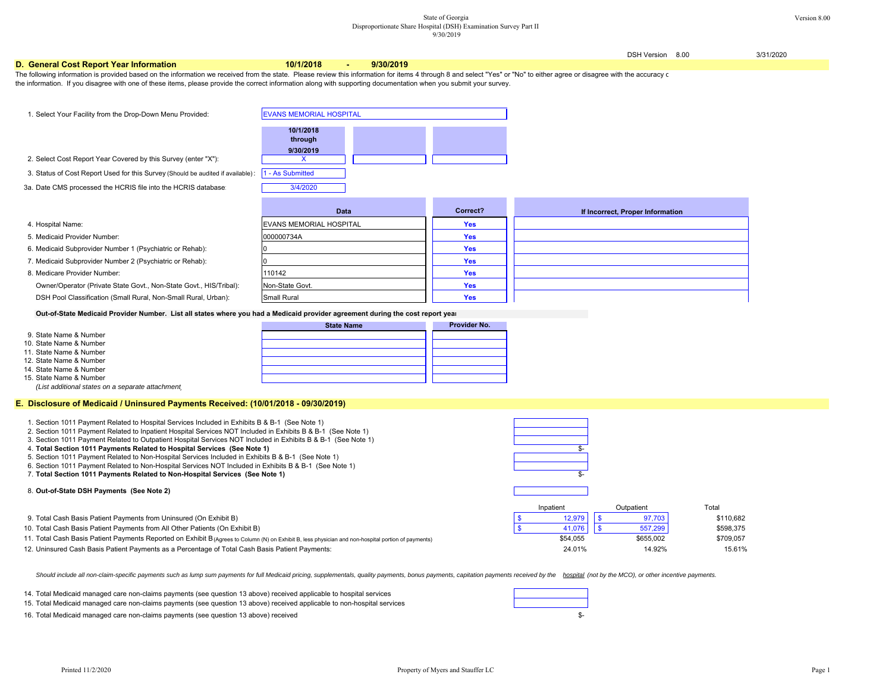#### State of Georgia Version 8.00 Disproportionate Share Hospital (DSH) Examination Survey Part II  $9/30/2019$

DSH Version 8.00 3/31/2020 **D. General Cost Report Year Information 10/1/2018 - 9/30/2019** 1. Select Your Facility from the Drop-Down Menu Provided: **10/1/2018 through 9/30/2019**2. Select Cost Report Year Covered by this Survey (enter "X"): V 3. Status of Cost Report Used for this Survey (Should be audited if available):  $\;$  |1 - As Submitted 3a. Date CMS processed the HCRIS file into the HCRIS database: 3/4/2020 **Correct?** 4. Hospital Name: **Yes** EVANS MEMORIAL HOSPITAL5. Medicaid Provider Number: **Yes** 6. Medicaid Subprovider Number 1 (Psychiatric or Rehab): **Yes** 7. Medicaid Subprovider Number 2 (Psychiatric or Rehab): **Yes** 8. Medicare Provider Number: **Yes** Owner/Operator (Private State Govt., Non-State Govt., HIS/Tribal): **Yes** DSH Pool Classification (Small Rural, Non-Small Rural, Urban): **Yes Out-of-State Medicaid Provider Number. List all states where you had a Medicaid provider agreement during the cost report year Provider No.**9. State Name & Number 10. State Name & Number 11. State Name & Number 12. State Name & Number 14. State Name & Number 15. State Name & Number *(List additional states on a separate attachment)* **E. Disclosure of Medicaid / Uninsured Payments Received: (10/01/2018 - 09/30/2019)** 110142Non-State Govt.Small Rural**If Incorrect, Proper Information** The following information is provided based on the information we received from the state. Please review this information for items 4 through 8 and select "Yes" or "No" to either agree or disagree with the accuracy or the information. If you disagree with one of these items, please provide the correct information along with supporting documentation when you submit your survey. EVANS MEMORIAL HOSPITAL**State NameData**000000734A

| . Section 1011 Payment Related to Hospital Services Included in Exhibits B & B-1 (See Note 1)                                                        |           |            |           |
|------------------------------------------------------------------------------------------------------------------------------------------------------|-----------|------------|-----------|
| 2. Section 1011 Payment Related to Inpatient Hospital Services NOT Included in Exhibits B & B-1 (See Note 1)                                         |           |            |           |
| 3. Section 1011 Payment Related to Outpatient Hospital Services NOT Included in Exhibits B & B-1 (See Note 1)                                        |           |            |           |
| 4. Total Section 1011 Payments Related to Hospital Services (See Note 1)                                                                             |           |            |           |
| 5. Section 1011 Payment Related to Non-Hospital Services Included in Exhibits B & B-1 (See Note 1)                                                   |           |            |           |
| 6. Section 1011 Payment Related to Non-Hospital Services NOT Included in Exhibits B & B-1 (See Note 1)                                               |           |            |           |
| 7. Total Section 1011 Payments Related to Non-Hospital Services (See Note 1)                                                                         |           |            |           |
| 8. Out-of-State DSH Payments (See Note 2)                                                                                                            |           |            |           |
|                                                                                                                                                      | Inpatient | Outpatient | Total     |
| 9. Total Cash Basis Patient Payments from Uninsured (On Exhibit B)                                                                                   | 12,979    | 97,703     | \$110,682 |
| 10. Total Cash Basis Patient Payments from All Other Patients (On Exhibit B)                                                                         | 41,076    | 557,299    | \$598,375 |
| 11. Total Cash Basis Patient Payments Reported on Exhibit B (Agrees to Column (N) on Exhibit B, less physician and non-hospital portion of payments) | \$54,055  | \$655,002  | \$709,057 |
| 12. Uninsured Cash Basis Patient Payments as a Percentage of Total Cash Basis Patient Payments:                                                      | 24.01%    | 14.92%     | 15.61%    |
|                                                                                                                                                      |           |            |           |

Should include all non-claim-specific payments such as lump sum payments for full Medicaid pricing, supplementals, quality payments, bonus payments, capitation payments received by the hospital (not by the MCO), or other i

14.Total Medicaid managed care non-claims payments (see question 13 above) received applicable to hospital services

15. Total Medicaid managed care non-claims payments (see question 13 above) received applicable to non-hospital services

16. Total Medicaid managed care non-claims payments (see question 13 above) received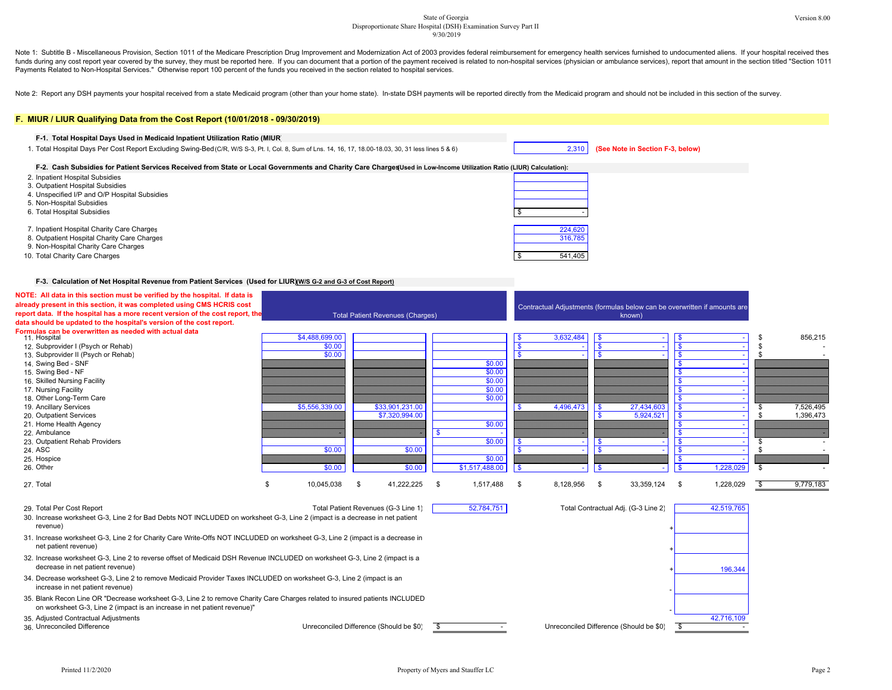#### State of Georgia Version 8.00 Disproportionate Share Hospital (DSH) Examination Survey Part II 9/30/2019

Note 1: Subtitle B - Miscellaneous Provision, Section 1011 of the Medicare Prescription Drug Improvement and Modernization Act of 2003 provides federal reimbursement for emergency health services furnished to undocumented funds during any cost report year covered by the survey, they must be reported here. If you can document that a portion of the payment received is related to non-hospital services (physician or ambulance services), report Payments Related to Non-Hospital Services." Otherwise report 100 percent of the funds you received in the section related to hospital services.

Note 2: Report any DSH payments your hospital received from a state Medicaid program (other than your home state). In-state DSH payments will be reported directly from the Medicaid program and should not be included in thi

### **F. MIUR / LIUR Qualifying Data from the Cost Report (10/01/2018 - 09/30/2019) F-1. Total Hospital Days Used in Medicaid Inpatient Utilization Ratio (MIUR)** 1. Total Hospital Days Per Cost Report Excluding Swing-Bed (C/R, W/S S-3, Pt. I, Col. 8, Sum of Lns. 14, 16, 17, 18.00-18.03, 30, 31 less lines 5 & 6) 2,310 | **(See Note in Section F-3, below)** 2. Inpatient Hospital Subsidies 3. Outpatient Hospital Subsidies 4. Unspecified I/P and O/P Hospital Subsidies 5. Non-Hospital Subsidies 6. Total Hospital Subsidies \$ - F-2. Cash Subsidies for Patient Services Received from State or Local Governments and Charity Care Charges Used in Low-Income Utilization Ratio (LIUR) Calculation):

- 7. Inpatient Hospital Charity Care Charges 224,620
- 8. Outpatient Hospital Charity Care Charges **316,785** 316,785
- 9. Non-Hospital Charity Care Charges
- 10. Total Charity Care Charges 541,405

#### **F-3. Calculation of Net Hospital Revenue from Patient Services (Used for LIUR) (W/S G-2 and G-3 of Cost Report)**

| NOTE: All data in this section must be verified by the hospital. If data is                                                                                                                             |                  |                                         |                         |                |              |           |                                         |                                                                           |                 |
|---------------------------------------------------------------------------------------------------------------------------------------------------------------------------------------------------------|------------------|-----------------------------------------|-------------------------|----------------|--------------|-----------|-----------------------------------------|---------------------------------------------------------------------------|-----------------|
| already present in this section, it was completed using CMS HCRIS cost                                                                                                                                  |                  |                                         |                         |                |              |           |                                         | Contractual Adjustments (formulas below can be overwritten if amounts are |                 |
| report data. If the hospital has a more recent version of the cost report, the                                                                                                                          |                  | <b>Total Patient Revenues (Charges)</b> |                         |                |              |           | known)                                  |                                                                           |                 |
| data should be updated to the hospital's version of the cost report.                                                                                                                                    |                  |                                         |                         |                |              |           |                                         |                                                                           |                 |
| Formulas can be overwritten as needed with actual data                                                                                                                                                  |                  |                                         |                         |                |              |           |                                         |                                                                           |                 |
| 11. Hospital                                                                                                                                                                                            | \$4,488,699.00   |                                         |                         |                |              | 3,632,484 |                                         |                                                                           | 856,215         |
| 12. Subprovider I (Psych or Rehab)                                                                                                                                                                      | \$0.00           |                                         |                         |                | $\mathbf{s}$ |           |                                         |                                                                           |                 |
| 13. Subprovider II (Psych or Rehab)                                                                                                                                                                     | \$0.00           |                                         |                         |                |              |           |                                         |                                                                           |                 |
| 14. Swing Bed - SNF                                                                                                                                                                                     |                  |                                         |                         | \$0.00         |              |           |                                         |                                                                           |                 |
| 15. Swing Bed - NF                                                                                                                                                                                      |                  |                                         |                         | \$0.00         |              |           |                                         |                                                                           |                 |
| 16. Skilled Nursing Facility                                                                                                                                                                            |                  |                                         |                         | \$0.00         |              |           |                                         |                                                                           |                 |
| 17. Nursing Facility                                                                                                                                                                                    |                  |                                         |                         | \$0.00         |              |           |                                         |                                                                           |                 |
| 18. Other Long-Term Care                                                                                                                                                                                |                  |                                         |                         | \$0.00         |              |           |                                         |                                                                           |                 |
| 19. Ancillary Services                                                                                                                                                                                  | \$5,556,339.00   | \$33,901,231.00                         |                         |                |              | 4,496,473 | 27,434,603<br>\$                        |                                                                           | 7,526,495       |
| 20. Outpatient Services                                                                                                                                                                                 |                  | \$7,320,994.00                          |                         |                |              |           | 5,924,521                               |                                                                           | 1,396,473       |
| 21. Home Health Agency                                                                                                                                                                                  |                  |                                         |                         | \$0.00         |              |           |                                         |                                                                           |                 |
| 22. Ambulance                                                                                                                                                                                           |                  |                                         |                         |                |              |           |                                         |                                                                           |                 |
| 23. Outpatient Rehab Providers                                                                                                                                                                          |                  |                                         |                         | \$0.00         |              |           |                                         |                                                                           |                 |
| 24, ASC                                                                                                                                                                                                 | \$0.00           |                                         | \$0.00                  |                |              |           |                                         |                                                                           |                 |
| 25. Hospice                                                                                                                                                                                             |                  |                                         |                         | \$0.00         |              |           |                                         |                                                                           |                 |
| 26. Other                                                                                                                                                                                               | \$0.00           |                                         | \$0.00                  | \$1,517,488.00 | - \$         |           |                                         | 1,228,029<br><b>R</b>                                                     |                 |
| 27. Total                                                                                                                                                                                               | 10,045,038<br>\$ | 41,222,225<br>- \$                      | - \$                    | 1,517,488      | - \$         | 8,128,956 | 33,359,124<br>\$                        | 1,228,029<br>\$                                                           | \$<br>9,779,183 |
| 29. Total Per Cost Report                                                                                                                                                                               |                  | Total Patient Revenues (G-3 Line 1)     |                         | 52,784,751     |              |           | Total Contractual Adj. (G-3 Line 2)     | 42,519,765                                                                |                 |
| 30. Increase worksheet G-3, Line 2 for Bad Debts NOT INCLUDED on worksheet G-3, Line 2 (impact is a decrease in net patient                                                                             |                  |                                         |                         |                |              |           |                                         |                                                                           |                 |
| revenue)                                                                                                                                                                                                |                  |                                         |                         |                |              |           |                                         |                                                                           |                 |
| 31. Increase worksheet G-3, Line 2 for Charity Care Write-Offs NOT INCLUDED on worksheet G-3, Line 2 (impact is a decrease in<br>net patient revenue)                                                   |                  |                                         |                         |                |              |           |                                         |                                                                           |                 |
| 32. Increase worksheet G-3, Line 2 to reverse offset of Medicaid DSH Revenue INCLUDED on worksheet G-3, Line 2 (impact is a                                                                             |                  |                                         |                         |                |              |           |                                         |                                                                           |                 |
| decrease in net patient revenue)                                                                                                                                                                        |                  |                                         |                         |                |              |           |                                         | 196,344                                                                   |                 |
| 34. Decrease worksheet G-3, Line 2 to remove Medicaid Provider Taxes INCLUDED on worksheet G-3, Line 2 (impact is an<br>increase in net patient revenue)                                                |                  |                                         |                         |                |              |           |                                         |                                                                           |                 |
| 35. Blank Recon Line OR "Decrease worksheet G-3, Line 2 to remove Charity Care Charges related to insured patients INCLUDED<br>on worksheet G-3, Line 2 (impact is an increase in net patient revenue)" |                  |                                         |                         |                |              |           |                                         |                                                                           |                 |
| 35. Adjusted Contractual Adjustments                                                                                                                                                                    |                  |                                         |                         |                |              |           |                                         | 42,716,109                                                                |                 |
| 36. Unreconciled Difference                                                                                                                                                                             |                  | Unreconciled Difference (Should be \$0) | $\overline{\mathbf{s}}$ |                |              |           | Unreconciled Difference (Should be \$0) | $\overline{\mathbf{s}}$                                                   |                 |

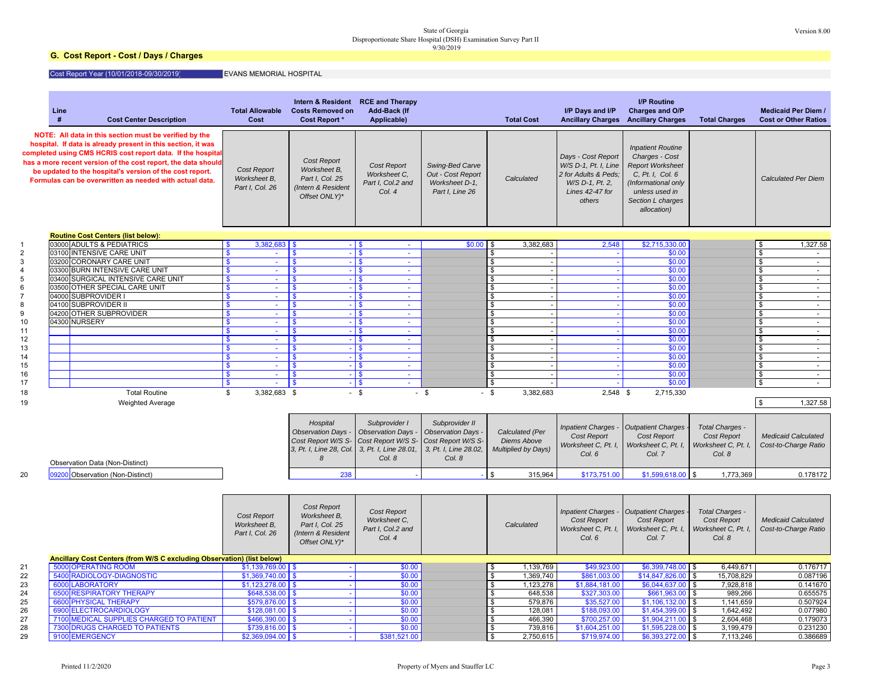# State of Georgia Version 8.00<br>Disproportionate Share Hospital (DSH) Examination Survey Part II<br>9/30/2019

### **G. Cost Report - Cost / Days / Charges**

Cost Report Year (10/01/2018-09/30/2019) EVANS MEMORIAL HOSPITAL

|                                                                                                                                                                                                                                                                                                                                                                               | Line<br># | <b>Cost Center Description</b>                                                                | <b>Total Allowable</b><br>Cost                                                       | Intern & Resident<br><b>Costs Removed on</b><br><b>Cost Report</b> *                        | <b>RCE and Therapy</b><br>Add-Back (If<br>Applicable)                                               |                                                                                             | <b>Total Cost</b>                                            |                                                                                                                    | I/P Days and I/P<br><b>Ancillary Charges</b>                                                                                                                           | <b>I/P Routine</b><br>Charges and O/P<br><b>Ancillary Charges</b>         | <b>Total Charges</b>                                                   | <b>Medicaid Per Diem /</b><br><b>Cost or Other Ratios</b> |
|-------------------------------------------------------------------------------------------------------------------------------------------------------------------------------------------------------------------------------------------------------------------------------------------------------------------------------------------------------------------------------|-----------|-----------------------------------------------------------------------------------------------|--------------------------------------------------------------------------------------|---------------------------------------------------------------------------------------------|-----------------------------------------------------------------------------------------------------|---------------------------------------------------------------------------------------------|--------------------------------------------------------------|--------------------------------------------------------------------------------------------------------------------|------------------------------------------------------------------------------------------------------------------------------------------------------------------------|---------------------------------------------------------------------------|------------------------------------------------------------------------|-----------------------------------------------------------|
| NOTE: All data in this section must be verified by the<br>hospital. If data is already present in this section, it was<br>completed using CMS HCRIS cost report data. If the hospital<br>has a more recent version of the cost report, the data should<br>be updated to the hospital's version of the cost report.<br>Formulas can be overwritten as needed with actual data. |           | Cost Report<br>Worksheet B,<br>Part I, Col. 26                                                | Cost Report<br>Worksheet B,<br>Part I, Col. 25<br>Intern & Resident<br>Offset ONLY)* | Cost Report<br>Worksheet C.<br>Part I, Col.2 and<br>Col. 4                                  | Swing-Bed Carve<br>Out - Cost Report<br>Worksheet D-1.<br>Part I, Line 26                           | Calculated                                                                                  |                                                              | Days - Cost Report<br>W/S D-1, Pt. I, Line<br>2 for Adults & Peds;<br>W/S D-1, Pt. 2,<br>Lines 42-47 for<br>others | <b>Inpatient Routine</b><br>Charges - Cost<br><b>Report Worksheet</b><br>C, Pt. I, Col. 6<br>(Informational only<br>unless used in<br>Section L charges<br>allocation) |                                                                           | <b>Calculated Per Diem</b>                                             |                                                           |
|                                                                                                                                                                                                                                                                                                                                                                               |           | <b>Routine Cost Centers (list below):</b>                                                     |                                                                                      |                                                                                             |                                                                                                     |                                                                                             |                                                              |                                                                                                                    |                                                                                                                                                                        |                                                                           |                                                                        |                                                           |
|                                                                                                                                                                                                                                                                                                                                                                               |           | 03000 ADULTS & PEDIATRICS                                                                     | $3,382,683$ \$<br><b>S</b>                                                           | $-1$ \$                                                                                     | $\sim$                                                                                              | \$0.00                                                                                      | - \$                                                         | 3,382,683                                                                                                          | 2,548                                                                                                                                                                  | \$2,715,330.00                                                            |                                                                        | 1,327.58<br>\$                                            |
| $\overline{2}$                                                                                                                                                                                                                                                                                                                                                                | 03100     | <b>INTENSIVE CARE UNIT</b>                                                                    | \$                                                                                   | $-1s$<br>\$                                                                                 | $\omega$                                                                                            |                                                                                             | \$                                                           |                                                                                                                    |                                                                                                                                                                        | \$0.00                                                                    |                                                                        | $\overline{\mathbf{e}}$                                   |
| 3                                                                                                                                                                                                                                                                                                                                                                             | 03200     | <b>CORONARY CARE UNIT</b>                                                                     | \$<br>$\sim$                                                                         | $\mathbf{s}$<br>$-1$ \$                                                                     | $\sim$                                                                                              |                                                                                             | $\frac{1}{2}$                                                |                                                                                                                    |                                                                                                                                                                        | \$0.00                                                                    |                                                                        | $\sqrt{3}$<br>$\sim$                                      |
| $\overline{4}$                                                                                                                                                                                                                                                                                                                                                                | 03300     | <b>BURN INTENSIVE CARE UNIT</b>                                                               | \$.<br>$\sim$                                                                        | $-1$ s<br>-S                                                                                | $\sim$                                                                                              |                                                                                             | \$                                                           |                                                                                                                    |                                                                                                                                                                        | \$0.00                                                                    |                                                                        | $\sqrt{3}$<br>$\sim$                                      |
| 5                                                                                                                                                                                                                                                                                                                                                                             |           | 03400 SURGICAL INTENSIVE CARE UNIT                                                            | ÷.<br>\$                                                                             | $-1s$<br>$\mathbf{s}$                                                                       | $\omega$                                                                                            |                                                                                             | $\overline{\mathbf{3}}$                                      |                                                                                                                    |                                                                                                                                                                        | \$0.00                                                                    |                                                                        | $\sqrt{3}$<br>$\sim$                                      |
| 6                                                                                                                                                                                                                                                                                                                                                                             |           | 03500 OTHER SPECIAL CARE UNIT                                                                 | \$<br>$\sim$                                                                         | $\mathbf{s}$<br>$-1s$                                                                       | $\sim$                                                                                              |                                                                                             | \$                                                           |                                                                                                                    |                                                                                                                                                                        | \$0.00                                                                    |                                                                        | $\mathbf{\hat{s}}$<br>$\sim$                              |
| $\overline{7}$<br>8                                                                                                                                                                                                                                                                                                                                                           | 04000     | <b>SUBPROVIDER I</b><br>04100 SUBPROVIDER II                                                  | \$.<br>$\sim$<br>\$.<br>$\omega$                                                     | $\mathbf{\$}$<br>$-1$ \$<br>$-1s$<br>$\mathbf{s}$                                           | $\sim$<br>$\omega$                                                                                  |                                                                                             | $\frac{1}{2}$<br>$\boldsymbol{\theta}$                       |                                                                                                                    |                                                                                                                                                                        | \$0.00<br>\$0.00                                                          |                                                                        | $\sqrt{3}$<br>$\sim$<br>$\sqrt{3}$                        |
| 9                                                                                                                                                                                                                                                                                                                                                                             |           | 04200 OTHER SUBPROVIDER                                                                       | \$<br>$\sim$                                                                         | $-1$ \$<br>-S                                                                               | $\sim$                                                                                              |                                                                                             | $\boldsymbol{\hat{\mathfrak{s}}}$                            |                                                                                                                    |                                                                                                                                                                        | \$0.00                                                                    |                                                                        | $\sim$<br>$\boldsymbol{\phi}$<br>$\sim$                   |
| 10                                                                                                                                                                                                                                                                                                                                                                            |           | 04300 NURSERY                                                                                 | \$.<br>$\Delta \phi$                                                                 | $\mathbf{s}$<br>$-1s$                                                                       | $\Delta \phi$                                                                                       |                                                                                             | $\boldsymbol{\theta}$                                        |                                                                                                                    |                                                                                                                                                                        | \$0.00                                                                    |                                                                        | $\ddot{\theta}$<br>$\sim$                                 |
| 11                                                                                                                                                                                                                                                                                                                                                                            |           |                                                                                               | \$.<br>$\omega$                                                                      | $\mathbf{s}$<br>$-15$                                                                       | $\omega$                                                                                            |                                                                                             | \$                                                           |                                                                                                                    |                                                                                                                                                                        | \$0.00                                                                    |                                                                        | $\sqrt[6]{3}$<br>$\sim$                                   |
| 12                                                                                                                                                                                                                                                                                                                                                                            |           |                                                                                               | \$<br>$\sim$                                                                         | $-1$ \$<br>\$                                                                               | $\sim$                                                                                              |                                                                                             | $\overline{\mathbf{3}}$                                      |                                                                                                                    |                                                                                                                                                                        | \$0.00                                                                    |                                                                        | $\sqrt{3}$<br>$\sim$                                      |
| 13                                                                                                                                                                                                                                                                                                                                                                            |           |                                                                                               | $\overline{\mathbf{s}}$<br>÷.                                                        | $\overline{\mathbf{s}}$<br>$-1s$                                                            | ÷.                                                                                                  |                                                                                             | $\mathbf{\hat{s}}$                                           |                                                                                                                    |                                                                                                                                                                        | \$0.00                                                                    |                                                                        | $\mathbf{s}$<br>$\sim$                                    |
| 14                                                                                                                                                                                                                                                                                                                                                                            |           |                                                                                               | $\mathbf{s}$<br>$\omega$                                                             | $-15$<br>$\mathbf{s}$                                                                       | $\mathcal{L}$                                                                                       |                                                                                             | \$                                                           |                                                                                                                    |                                                                                                                                                                        | \$0.00                                                                    |                                                                        | $\sqrt{3}$<br>$\sim$                                      |
| 15                                                                                                                                                                                                                                                                                                                                                                            |           |                                                                                               | \$<br>$\sim$                                                                         | l S<br>$-1$ \$                                                                              | $\sim$                                                                                              |                                                                                             | $\sqrt{2}$                                                   |                                                                                                                    | $\sim$                                                                                                                                                                 | \$0.00                                                                    |                                                                        | $\sqrt{3}$<br>$\sim$                                      |
| 16                                                                                                                                                                                                                                                                                                                                                                            |           |                                                                                               | ÷.<br>$\mathbf{s}$                                                                   | $-1s$<br>\$                                                                                 | ÷                                                                                                   |                                                                                             | $\overline{\mathbf{3}}$                                      |                                                                                                                    |                                                                                                                                                                        | \$0.00                                                                    |                                                                        | $\mathbf{s}$<br>¥.                                        |
| 17                                                                                                                                                                                                                                                                                                                                                                            |           |                                                                                               | $\mathbf{\$}$<br>$\omega$                                                            | $-1s$<br>$\mathbf{s}$                                                                       | $\mathbf{r}$                                                                                        |                                                                                             | \$                                                           |                                                                                                                    |                                                                                                                                                                        | \$0.00                                                                    |                                                                        | $\sqrt{3}$<br>$\sim$                                      |
| 18                                                                                                                                                                                                                                                                                                                                                                            |           | <b>Total Routine</b>                                                                          | 3,382,683 \$<br>\$                                                                   | $-$ \$                                                                                      |                                                                                                     | $-$ \$                                                                                      | $-$ \$                                                       | 3,382,683                                                                                                          | 2,548                                                                                                                                                                  | \$<br>2,715,330                                                           |                                                                        |                                                           |
| 19                                                                                                                                                                                                                                                                                                                                                                            |           | <b>Weighted Average</b>                                                                       |                                                                                      |                                                                                             |                                                                                                     |                                                                                             |                                                              |                                                                                                                    |                                                                                                                                                                        |                                                                           |                                                                        | $\theta$<br>1,327.58                                      |
|                                                                                                                                                                                                                                                                                                                                                                               |           | Observation Data (Non-Distinct)                                                               |                                                                                      | Hospital<br><b>Observation Days -</b><br>Cost Report W/S S-<br>3, Pt. I, Line 28, Col.<br>8 | Subprovider I<br><b>Observation Days -</b><br>Cost Report W/S S-<br>3, Pt. I, Line 28.01,<br>Col. 8 | Subprovider II<br>Observation Days<br>Cost Report W/S S-<br>3, Pt. I, Line 28.02,<br>Col. 8 | Calculated (Per<br><b>Diems Above</b><br>Multiplied by Days) |                                                                                                                    | <b>Inpatient Charges</b><br>Cost Report<br>Worksheet C, Pt. I,<br>Col. 6                                                                                               | <b>Outpatient Charges</b><br>Cost Report<br>Worksheet C, Pt. I,<br>Col. 7 | <b>Total Charges -</b><br>Cost Report<br>Worksheet C, Pt. I,<br>Col. 8 | <b>Medicaid Calculated</b><br>Cost-to-Charge Ratio        |
| 20                                                                                                                                                                                                                                                                                                                                                                            |           | 09200 Observation (Non-Distinct)                                                              |                                                                                      | 238                                                                                         |                                                                                                     |                                                                                             | ፍ                                                            | 315,964                                                                                                            | \$173,751.00                                                                                                                                                           | \$1,599,618.00                                                            | 1,773,369<br>$\mathfrak{L}$                                            | 0.178172                                                  |
|                                                                                                                                                                                                                                                                                                                                                                               |           |                                                                                               |                                                                                      |                                                                                             |                                                                                                     |                                                                                             |                                                              |                                                                                                                    |                                                                                                                                                                        |                                                                           |                                                                        |                                                           |
|                                                                                                                                                                                                                                                                                                                                                                               |           |                                                                                               | Cost Report<br>Worksheet B,<br>Part I, Col. 26                                       | Cost Report<br>Worksheet B,<br>Part I, Col. 25<br>(Intern & Resident<br>Offset ONLY)*       | Cost Report<br>Worksheet C.<br>Part I, Col.2 and<br>Col. 4                                          |                                                                                             | Calculated                                                   |                                                                                                                    | Inpatient Charges<br>Cost Report<br>Worksheet C, Pt. I,<br>Col. 6                                                                                                      | <b>Outpatient Charges</b><br>Cost Report<br>Worksheet C, Pt. I,<br>Col. 7 | Total Charges -<br>Cost Report<br>Worksheet C, Pt. I,<br>Col. 8        | <b>Medicaid Calculated</b><br>Cost-to-Charge Ratio        |
|                                                                                                                                                                                                                                                                                                                                                                               |           | Ancillary Cost Centers (from W/S C excluding Observation) (list below)<br>5000 OPERATING ROOM |                                                                                      |                                                                                             |                                                                                                     |                                                                                             |                                                              |                                                                                                                    |                                                                                                                                                                        | \$6,399,748.00                                                            | 6,449,671                                                              | 0.176717                                                  |
| 21<br>22                                                                                                                                                                                                                                                                                                                                                                      |           | 5400 RADIOLOGY-DIAGNOSTIC                                                                     | $$1,139,769.00$ \$<br>$$1,369,740.00$ \ \$                                           | $\sim$<br>÷.                                                                                | \$0.00<br>\$0.00                                                                                    |                                                                                             | \$<br>$\mathbf{\hat{s}}$                                     | 1,139,769<br>1,369,740                                                                                             | \$49,923.00<br>\$861,003.00                                                                                                                                            | \$14,847,826.00                                                           | \$<br>15,708,829<br>\$                                                 | 0.087196                                                  |
| 23                                                                                                                                                                                                                                                                                                                                                                            |           | 6000 LABORATORY                                                                               | $$1,123,278.00$ \$                                                                   | $\sim$                                                                                      | \$0.00                                                                                              |                                                                                             | \$                                                           | 1,123,278                                                                                                          | \$1,884,181.00                                                                                                                                                         | \$6,044,637.00                                                            | 7,928,818<br>\$                                                        | 0.141670                                                  |
| 24                                                                                                                                                                                                                                                                                                                                                                            |           | 6500 RESPIRATORY THERAPY                                                                      | $$648,538.00$ \ \$                                                                   | $\sim$                                                                                      | \$0.00                                                                                              |                                                                                             | \$                                                           | 648,538                                                                                                            | \$327,303.00                                                                                                                                                           | \$661,963.00                                                              | 989,266<br><b>S</b>                                                    | 0.655575                                                  |
| 25                                                                                                                                                                                                                                                                                                                                                                            | 6600      | <b>PHYSICAL THERAPY</b>                                                                       | $$579,876.00$ \$                                                                     |                                                                                             | \$0.00                                                                                              |                                                                                             | $\bullet$                                                    | 579,876                                                                                                            | \$35,527.00                                                                                                                                                            | \$1,106,132.00                                                            | 1,141,659<br><b>S</b>                                                  | 0.507924                                                  |
| 26                                                                                                                                                                                                                                                                                                                                                                            |           | 6900 ELECTROCARDIOLOGY                                                                        | $$128,081.00$ \ \$                                                                   | $\mathcal{L}_{\mathbf{r}}$                                                                  | \$0.00                                                                                              |                                                                                             | $\sqrt{2}$                                                   | 128,081                                                                                                            | \$188,093.00                                                                                                                                                           | $$1,454,399.00$ \$                                                        | 1,642,492                                                              | 0.077980                                                  |
| 27                                                                                                                                                                                                                                                                                                                                                                            |           | 7100 MEDICAL SUPPLIES CHARGED TO PATIENT                                                      | $$466,390.00$ \$                                                                     | $\sim$                                                                                      | \$0.00                                                                                              |                                                                                             | \$                                                           | 466,390                                                                                                            | \$700,257.00                                                                                                                                                           | \$1,904,211.00                                                            | 2,604,468<br>\$                                                        | 0.179073                                                  |
| 28                                                                                                                                                                                                                                                                                                                                                                            |           | 7300 DRUGS CHARGED TO PATIENTS                                                                | $$739,816.00$ \ \$                                                                   |                                                                                             | \$0.00                                                                                              |                                                                                             | $\overline{\mathbf{3}}$                                      | 739.816                                                                                                            | \$1,604,251.00                                                                                                                                                         | $$1,595,228.00$ \$                                                        | 3,199,479                                                              | 0.231230                                                  |
| 29<br>9100 EMERGENCY                                                                                                                                                                                                                                                                                                                                                          |           | $$2,369,094.00$ \$                                                                            |                                                                                      | \$381,521.00                                                                                |                                                                                                     | $\overline{\mathbf{3}}$                                                                     | 2,750,615                                                    | \$719,974.00                                                                                                       | \$6,393,272.00                                                                                                                                                         | 7,113,246<br>\$                                                           | 0.386689                                                               |                                                           |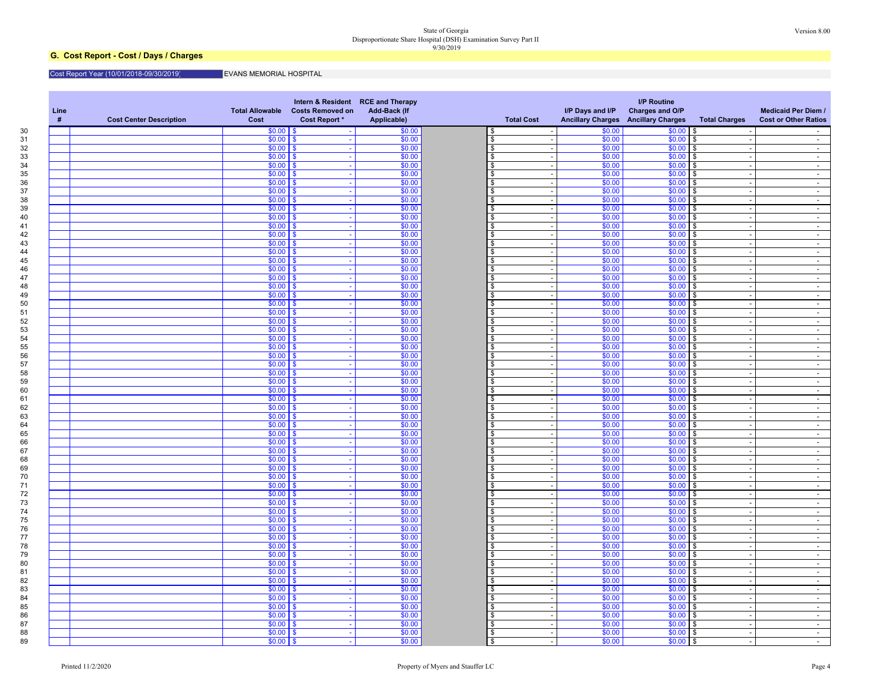#### State of Georgia Version 8.00 Disproportionate Share Hospital (DSH) Examination Survey Part II 9/30/2019

### **G. Cost Report - Cost / Days / Charges**

#### Cost Report Year (10/01/2018-09/30/2019) EVANS MEMORIAL HOSPITAL

| #<br>\$0.00<br>\$0.00<br>\$0.00<br>$$0.00$ \ \$<br>\$<br>\$.<br>$$0.00$ $\vert$ \$<br>\$0.00<br>$$0.00$ \$<br>\$0.00<br>\$<br>\$0.00<br>\$0.00<br>\$0.00<br>\$0.00<br>\$<br>S.<br>-SS<br>\$0.00<br>\$0.00<br>\$0.00<br>\$0.00<br>\$<br>$\mathbf{R}$<br>ድ<br>$$0.00$ \ \$<br>\$0.00<br>\$0.00<br>\$0.00<br>\$<br>$\sqrt{3}$<br>$$0.00$ \ \$<br>\$0.00<br>\$0.00<br>\$0.00<br>\$<br>\$<br>$$0.00$ \ \$<br>\$0.00<br>\$0.00<br>$$0.00$ \$<br>in 19<br>\$<br>\$0.00<br>$$0.00$   \$<br>\$0.00<br>\$<br>$$0.00$ \$<br>\$0.00<br>\$0.00<br>\$0.00<br>\$0.00<br>\$<br>\$<br>- 56<br>$\overline{a}$<br>\$0.00<br>\$0.00<br>\$0.00<br>\$0.00<br><b>S</b><br>l S<br>$\mathfrak{L}$<br>\$0.00<br>\$0.00<br>$$0.00$ \ \ \$<br>\$0.00<br>\$<br>$\sqrt{3}$<br>\$0.00<br>\$0.00<br>\$0.00<br>\$0.00<br>\$<br>- \$<br>\$<br>$$0.00$ \ \$<br>\$0.00<br>\$0.00<br>$$0.00$ \$<br>$\sim$<br>\$.<br>$$0.00$ \ \$<br>\$0.00<br>\$<br>\$0.00<br>$$0.00$ \$<br>\$0.00<br>$$0.00$   \$<br>\$0.00<br>\$<br>\$0.00<br>- \$<br>÷.<br>\$0.00<br>\$0.00<br>$\mathfrak{L}$<br>\$0.00<br>\$0.00<br>$\mathbf{s}$<br>\$<br>\$0.00<br>\$0.00<br>\$0.00<br>\$0.00<br>\$.<br>\$<br>-96<br>\$0.00<br>\$0.00<br>\$0.00<br>\$0.00<br>- \$<br>\$.<br>\$<br>$\sim$<br>\$0.00<br>\$0.00<br>\$0.00<br>$$0.00$ \$<br>\$<br>$\mathbf{R}$<br>$$0.00$ \ \$<br>\$0.00<br>\$0.00<br>\$0.00<br>\$<br><b>S</b><br>\$0.00<br>$$0.00$ \$<br>$$0.00$   \$<br>\$0.00<br>\$<br>$\sim$<br>$\sim$<br>$$0.00$ \ \$<br>\$0.00<br>\$0.00<br>$$0.00$ \$<br>\$<br>\$0.00<br>\$0.00<br>\$0.00<br>\$0.00<br>- \$<br>\$<br>\$<br>\$0.00<br>\$0.00<br>\$0.00<br>\$0.00<br>\$<br>\$<br>- \$<br>\$0.00<br>\$0.00<br>\$0.00<br>$$0.00$ \$<br>\$<br>-96<br>\$0.00<br>\$0.00<br>\$0.00<br>\$0.00<br>\$<br>\$<br>-93<br>\$0.00<br>\$0.00<br>\$0.00<br>\$0.00<br>\$.<br>\$<br>- \$<br>$\sim$<br>$\sim$<br>\$0.00<br>\$0.00<br>\$0.00<br>\$0.00<br>$\mathfrak{L}$<br><b>S</b><br>l s<br>$$0.00$ $\vert$ \$<br>\$0.00<br>\$0.00<br>\$0.00<br>$\mathfrak{L}$<br>\$<br>$$0.00$ \ \$<br>\$0.00<br>\$0.00<br>$$0.00$ \$<br>$\omega$<br>\$<br>$\sim$<br>$\overline{a}$<br>$$0.00$ \ \$<br>\$0.00<br>\$0.00<br>$$0.00$ \$<br>\$<br>$$0.00$   \$<br>\$0.00<br>\$<br>\$0.00<br>\$0.00<br>\$<br>$$0.00$ \ \$<br>\$0.00<br>\$0.00<br>\$0.00<br>\$<br>\$<br>$$0.00$ \ \$<br>\$0.00<br>\$0.00<br>\$0.00<br>\$<br><b>S</b><br>$\overline{a}$<br>$$0.00$ $\vert$ \$<br>\$0.00<br>\$0.00<br>\$0.00<br>\$<br>\$<br>$$0.00$ \ \$<br>\$0.00<br>$$0.00$ \$<br>\$0.00<br>\$.<br>$\sim$<br>$\sim$<br>\$0.00<br>\$0.00<br>\$0.00<br>\$0.00<br>\$<br>\$<br>- \$<br>$$0.00$ \ \$<br>\$0.00<br>\$0.00<br>\$0.00<br>$\mathbf{\hat{z}}$<br>\$<br>$$0.00$ $\sqrt{S}$<br>\$0.00<br>\$0.00<br>\$0.00<br>$\mathfrak{L}$<br><b>S</b><br>$\sim$<br>$\sim$<br>\$0.00<br>\$0.00<br>\$0.00<br>\$0.00<br>\$<br>\$<br>- \$<br>\$0.00<br>\$0.00<br>\$0.00<br>\$0.00<br>\$<br>- \$<br>\$<br>\$0.00<br>$$0.00$ \$<br>\$0.00<br>$$0.00$ \$<br>$\sim$<br>\$<br>\$0.00<br>\$0.00<br>\$0.00<br>\$0.00<br>\$<br><b>\$</b><br>- \$<br>$$0.00$ \ \$<br>\$0.00<br>\$0.00<br>$$0.00$ \$<br>\$<br>$$0.00$ \ \$<br>\$0.00<br>\$0.00<br>$$0.00$ \$<br>\$<br>÷.<br>$\sim$<br>\$0.00<br>\$0.00<br>\$0.00<br>$$0.00$   \$<br>\$<br>\$<br>$\sim$<br>\$0.00<br>\$0.00<br>\$0.00<br>\$0.00<br>$\mathbf{R}$<br>\$.<br>\$<br>$$0.00$ \$<br>\$0.00<br>$$0.00$ \$<br>\$0.00<br>$\sim$<br>\$<br>\$0.00<br>\$0.00<br>\$0.00<br>$\mathbf{\hat{s}}$<br>\$0.00<br><b>S</b><br>- \$<br>$$0.00$ \ \$<br>\$0.00<br>\$0.00<br>$$0.00$ \$<br>\$<br>$\sim$<br>$\sim$<br>$$0.00$ \ \$<br>\$0.00<br>\$0.00<br>$$0.00$ \$<br>$\sim$<br>\$.<br>$\sim$<br>\$0.00<br>\$0.00<br>\$0.00<br>\$0.00<br>\$<br>$\mathbf{s}$<br>\$<br>$$0.00$ \ \$<br>\$0.00<br>\$0.00<br>\$0.00<br>\$<br>\$<br>$$0.00$ \ \$<br>\$0.00<br>$$0.00$ \$<br>\$0.00<br>\$<br>$\sim$<br>\$0.00<br>$$0.00$ \$<br>\$0.00<br>\$0.00<br>\$.<br>-S<br>$\sim$<br>\$0.00<br>\$0.00<br>\$0.00<br>\$0.00<br>\$<br>- \$<br>\$<br>$$0.00$ \$<br>\$0.00<br>\$0.00<br>$$0.00$ \$<br>$\sim$<br>я.<br>$\sim$<br>\$0.00<br>\$0.00<br>\$0.00<br>\$0.00<br>\$<br>\$<br><b>S</b><br>$$0.00$ \ \$<br>\$0.00<br>\$0.00<br>\$0.00<br>\$<br>\$ | Line<br><b>Cost Center Description</b> | Total Allowable Costs Removed on<br><b>Cost Report *</b><br>Cost | Intern & Resident RCE and Therapy<br><b>Add-Back (If</b><br>Applicable) | <b>Total Cost</b> | I/P Days and I/P | <b>I/P Routine</b><br>Charges and O/P<br><b>Ancillary Charges Ancillary Charges</b> | <b>Total Charges</b> | <b>Medicaid Per Diem /</b><br><b>Cost or Other Ratios</b> |
|-------------------------------------------------------------------------------------------------------------------------------------------------------------------------------------------------------------------------------------------------------------------------------------------------------------------------------------------------------------------------------------------------------------------------------------------------------------------------------------------------------------------------------------------------------------------------------------------------------------------------------------------------------------------------------------------------------------------------------------------------------------------------------------------------------------------------------------------------------------------------------------------------------------------------------------------------------------------------------------------------------------------------------------------------------------------------------------------------------------------------------------------------------------------------------------------------------------------------------------------------------------------------------------------------------------------------------------------------------------------------------------------------------------------------------------------------------------------------------------------------------------------------------------------------------------------------------------------------------------------------------------------------------------------------------------------------------------------------------------------------------------------------------------------------------------------------------------------------------------------------------------------------------------------------------------------------------------------------------------------------------------------------------------------------------------------------------------------------------------------------------------------------------------------------------------------------------------------------------------------------------------------------------------------------------------------------------------------------------------------------------------------------------------------------------------------------------------------------------------------------------------------------------------------------------------------------------------------------------------------------------------------------------------------------------------------------------------------------------------------------------------------------------------------------------------------------------------------------------------------------------------------------------------------------------------------------------------------------------------------------------------------------------------------------------------------------------------------------------------------------------------------------------------------------------------------------------------------------------------------------------------------------------------------------------------------------------------------------------------------------------------------------------------------------------------------------------------------------------------------------------------------------------------------------------------------------------------------------------------------------------------------------------------------------------------------------------------------------------------------------------------------------------------------------------------------------------------------------------------------------------------------------------------------------------------------------------------------------------------------------------------------------------------------------------------------------------------------------------------------------------|----------------------------------------|------------------------------------------------------------------|-------------------------------------------------------------------------|-------------------|------------------|-------------------------------------------------------------------------------------|----------------------|-----------------------------------------------------------|
|                                                                                                                                                                                                                                                                                                                                                                                                                                                                                                                                                                                                                                                                                                                                                                                                                                                                                                                                                                                                                                                                                                                                                                                                                                                                                                                                                                                                                                                                                                                                                                                                                                                                                                                                                                                                                                                                                                                                                                                                                                                                                                                                                                                                                                                                                                                                                                                                                                                                                                                                                                                                                                                                                                                                                                                                                                                                                                                                                                                                                                                                                                                                                                                                                                                                                                                                                                                                                                                                                                                                                                                                                                                                                                                                                                                                                                                                                                                                                                                                                                                                                                                               |                                        |                                                                  |                                                                         |                   |                  |                                                                                     |                      |                                                           |
|                                                                                                                                                                                                                                                                                                                                                                                                                                                                                                                                                                                                                                                                                                                                                                                                                                                                                                                                                                                                                                                                                                                                                                                                                                                                                                                                                                                                                                                                                                                                                                                                                                                                                                                                                                                                                                                                                                                                                                                                                                                                                                                                                                                                                                                                                                                                                                                                                                                                                                                                                                                                                                                                                                                                                                                                                                                                                                                                                                                                                                                                                                                                                                                                                                                                                                                                                                                                                                                                                                                                                                                                                                                                                                                                                                                                                                                                                                                                                                                                                                                                                                                               |                                        |                                                                  |                                                                         |                   |                  |                                                                                     |                      | $\sim$ $-$                                                |
|                                                                                                                                                                                                                                                                                                                                                                                                                                                                                                                                                                                                                                                                                                                                                                                                                                                                                                                                                                                                                                                                                                                                                                                                                                                                                                                                                                                                                                                                                                                                                                                                                                                                                                                                                                                                                                                                                                                                                                                                                                                                                                                                                                                                                                                                                                                                                                                                                                                                                                                                                                                                                                                                                                                                                                                                                                                                                                                                                                                                                                                                                                                                                                                                                                                                                                                                                                                                                                                                                                                                                                                                                                                                                                                                                                                                                                                                                                                                                                                                                                                                                                                               |                                        |                                                                  |                                                                         |                   |                  |                                                                                     |                      | $\sim$                                                    |
|                                                                                                                                                                                                                                                                                                                                                                                                                                                                                                                                                                                                                                                                                                                                                                                                                                                                                                                                                                                                                                                                                                                                                                                                                                                                                                                                                                                                                                                                                                                                                                                                                                                                                                                                                                                                                                                                                                                                                                                                                                                                                                                                                                                                                                                                                                                                                                                                                                                                                                                                                                                                                                                                                                                                                                                                                                                                                                                                                                                                                                                                                                                                                                                                                                                                                                                                                                                                                                                                                                                                                                                                                                                                                                                                                                                                                                                                                                                                                                                                                                                                                                                               |                                        |                                                                  |                                                                         |                   |                  |                                                                                     |                      | $\sim$                                                    |
|                                                                                                                                                                                                                                                                                                                                                                                                                                                                                                                                                                                                                                                                                                                                                                                                                                                                                                                                                                                                                                                                                                                                                                                                                                                                                                                                                                                                                                                                                                                                                                                                                                                                                                                                                                                                                                                                                                                                                                                                                                                                                                                                                                                                                                                                                                                                                                                                                                                                                                                                                                                                                                                                                                                                                                                                                                                                                                                                                                                                                                                                                                                                                                                                                                                                                                                                                                                                                                                                                                                                                                                                                                                                                                                                                                                                                                                                                                                                                                                                                                                                                                                               |                                        |                                                                  |                                                                         |                   |                  |                                                                                     |                      | $\blacksquare$                                            |
|                                                                                                                                                                                                                                                                                                                                                                                                                                                                                                                                                                                                                                                                                                                                                                                                                                                                                                                                                                                                                                                                                                                                                                                                                                                                                                                                                                                                                                                                                                                                                                                                                                                                                                                                                                                                                                                                                                                                                                                                                                                                                                                                                                                                                                                                                                                                                                                                                                                                                                                                                                                                                                                                                                                                                                                                                                                                                                                                                                                                                                                                                                                                                                                                                                                                                                                                                                                                                                                                                                                                                                                                                                                                                                                                                                                                                                                                                                                                                                                                                                                                                                                               |                                        |                                                                  |                                                                         |                   |                  |                                                                                     |                      | $\sim$                                                    |
|                                                                                                                                                                                                                                                                                                                                                                                                                                                                                                                                                                                                                                                                                                                                                                                                                                                                                                                                                                                                                                                                                                                                                                                                                                                                                                                                                                                                                                                                                                                                                                                                                                                                                                                                                                                                                                                                                                                                                                                                                                                                                                                                                                                                                                                                                                                                                                                                                                                                                                                                                                                                                                                                                                                                                                                                                                                                                                                                                                                                                                                                                                                                                                                                                                                                                                                                                                                                                                                                                                                                                                                                                                                                                                                                                                                                                                                                                                                                                                                                                                                                                                                               |                                        |                                                                  |                                                                         |                   |                  |                                                                                     |                      | $\sim$                                                    |
|                                                                                                                                                                                                                                                                                                                                                                                                                                                                                                                                                                                                                                                                                                                                                                                                                                                                                                                                                                                                                                                                                                                                                                                                                                                                                                                                                                                                                                                                                                                                                                                                                                                                                                                                                                                                                                                                                                                                                                                                                                                                                                                                                                                                                                                                                                                                                                                                                                                                                                                                                                                                                                                                                                                                                                                                                                                                                                                                                                                                                                                                                                                                                                                                                                                                                                                                                                                                                                                                                                                                                                                                                                                                                                                                                                                                                                                                                                                                                                                                                                                                                                                               |                                        |                                                                  |                                                                         |                   |                  |                                                                                     |                      | $\sim$ $-$<br>$\sim$                                      |
|                                                                                                                                                                                                                                                                                                                                                                                                                                                                                                                                                                                                                                                                                                                                                                                                                                                                                                                                                                                                                                                                                                                                                                                                                                                                                                                                                                                                                                                                                                                                                                                                                                                                                                                                                                                                                                                                                                                                                                                                                                                                                                                                                                                                                                                                                                                                                                                                                                                                                                                                                                                                                                                                                                                                                                                                                                                                                                                                                                                                                                                                                                                                                                                                                                                                                                                                                                                                                                                                                                                                                                                                                                                                                                                                                                                                                                                                                                                                                                                                                                                                                                                               |                                        |                                                                  |                                                                         |                   |                  |                                                                                     |                      | $\sim$                                                    |
|                                                                                                                                                                                                                                                                                                                                                                                                                                                                                                                                                                                                                                                                                                                                                                                                                                                                                                                                                                                                                                                                                                                                                                                                                                                                                                                                                                                                                                                                                                                                                                                                                                                                                                                                                                                                                                                                                                                                                                                                                                                                                                                                                                                                                                                                                                                                                                                                                                                                                                                                                                                                                                                                                                                                                                                                                                                                                                                                                                                                                                                                                                                                                                                                                                                                                                                                                                                                                                                                                                                                                                                                                                                                                                                                                                                                                                                                                                                                                                                                                                                                                                                               |                                        |                                                                  |                                                                         |                   |                  |                                                                                     |                      | $\sim$                                                    |
|                                                                                                                                                                                                                                                                                                                                                                                                                                                                                                                                                                                                                                                                                                                                                                                                                                                                                                                                                                                                                                                                                                                                                                                                                                                                                                                                                                                                                                                                                                                                                                                                                                                                                                                                                                                                                                                                                                                                                                                                                                                                                                                                                                                                                                                                                                                                                                                                                                                                                                                                                                                                                                                                                                                                                                                                                                                                                                                                                                                                                                                                                                                                                                                                                                                                                                                                                                                                                                                                                                                                                                                                                                                                                                                                                                                                                                                                                                                                                                                                                                                                                                                               |                                        |                                                                  |                                                                         |                   |                  |                                                                                     |                      | $\sim$                                                    |
|                                                                                                                                                                                                                                                                                                                                                                                                                                                                                                                                                                                                                                                                                                                                                                                                                                                                                                                                                                                                                                                                                                                                                                                                                                                                                                                                                                                                                                                                                                                                                                                                                                                                                                                                                                                                                                                                                                                                                                                                                                                                                                                                                                                                                                                                                                                                                                                                                                                                                                                                                                                                                                                                                                                                                                                                                                                                                                                                                                                                                                                                                                                                                                                                                                                                                                                                                                                                                                                                                                                                                                                                                                                                                                                                                                                                                                                                                                                                                                                                                                                                                                                               |                                        |                                                                  |                                                                         |                   |                  |                                                                                     |                      | $\sim$                                                    |
|                                                                                                                                                                                                                                                                                                                                                                                                                                                                                                                                                                                                                                                                                                                                                                                                                                                                                                                                                                                                                                                                                                                                                                                                                                                                                                                                                                                                                                                                                                                                                                                                                                                                                                                                                                                                                                                                                                                                                                                                                                                                                                                                                                                                                                                                                                                                                                                                                                                                                                                                                                                                                                                                                                                                                                                                                                                                                                                                                                                                                                                                                                                                                                                                                                                                                                                                                                                                                                                                                                                                                                                                                                                                                                                                                                                                                                                                                                                                                                                                                                                                                                                               |                                        |                                                                  |                                                                         |                   |                  |                                                                                     |                      | $\sim$                                                    |
|                                                                                                                                                                                                                                                                                                                                                                                                                                                                                                                                                                                                                                                                                                                                                                                                                                                                                                                                                                                                                                                                                                                                                                                                                                                                                                                                                                                                                                                                                                                                                                                                                                                                                                                                                                                                                                                                                                                                                                                                                                                                                                                                                                                                                                                                                                                                                                                                                                                                                                                                                                                                                                                                                                                                                                                                                                                                                                                                                                                                                                                                                                                                                                                                                                                                                                                                                                                                                                                                                                                                                                                                                                                                                                                                                                                                                                                                                                                                                                                                                                                                                                                               |                                        |                                                                  |                                                                         |                   |                  |                                                                                     |                      | $\sim$                                                    |
|                                                                                                                                                                                                                                                                                                                                                                                                                                                                                                                                                                                                                                                                                                                                                                                                                                                                                                                                                                                                                                                                                                                                                                                                                                                                                                                                                                                                                                                                                                                                                                                                                                                                                                                                                                                                                                                                                                                                                                                                                                                                                                                                                                                                                                                                                                                                                                                                                                                                                                                                                                                                                                                                                                                                                                                                                                                                                                                                                                                                                                                                                                                                                                                                                                                                                                                                                                                                                                                                                                                                                                                                                                                                                                                                                                                                                                                                                                                                                                                                                                                                                                                               |                                        |                                                                  |                                                                         |                   |                  |                                                                                     |                      | $\sim$                                                    |
|                                                                                                                                                                                                                                                                                                                                                                                                                                                                                                                                                                                                                                                                                                                                                                                                                                                                                                                                                                                                                                                                                                                                                                                                                                                                                                                                                                                                                                                                                                                                                                                                                                                                                                                                                                                                                                                                                                                                                                                                                                                                                                                                                                                                                                                                                                                                                                                                                                                                                                                                                                                                                                                                                                                                                                                                                                                                                                                                                                                                                                                                                                                                                                                                                                                                                                                                                                                                                                                                                                                                                                                                                                                                                                                                                                                                                                                                                                                                                                                                                                                                                                                               |                                        |                                                                  |                                                                         |                   |                  |                                                                                     |                      | $\sim$                                                    |
|                                                                                                                                                                                                                                                                                                                                                                                                                                                                                                                                                                                                                                                                                                                                                                                                                                                                                                                                                                                                                                                                                                                                                                                                                                                                                                                                                                                                                                                                                                                                                                                                                                                                                                                                                                                                                                                                                                                                                                                                                                                                                                                                                                                                                                                                                                                                                                                                                                                                                                                                                                                                                                                                                                                                                                                                                                                                                                                                                                                                                                                                                                                                                                                                                                                                                                                                                                                                                                                                                                                                                                                                                                                                                                                                                                                                                                                                                                                                                                                                                                                                                                                               |                                        |                                                                  |                                                                         |                   |                  |                                                                                     |                      | $\sim$<br>$\sim$                                          |
|                                                                                                                                                                                                                                                                                                                                                                                                                                                                                                                                                                                                                                                                                                                                                                                                                                                                                                                                                                                                                                                                                                                                                                                                                                                                                                                                                                                                                                                                                                                                                                                                                                                                                                                                                                                                                                                                                                                                                                                                                                                                                                                                                                                                                                                                                                                                                                                                                                                                                                                                                                                                                                                                                                                                                                                                                                                                                                                                                                                                                                                                                                                                                                                                                                                                                                                                                                                                                                                                                                                                                                                                                                                                                                                                                                                                                                                                                                                                                                                                                                                                                                                               |                                        |                                                                  |                                                                         |                   |                  |                                                                                     |                      | $\sim$                                                    |
|                                                                                                                                                                                                                                                                                                                                                                                                                                                                                                                                                                                                                                                                                                                                                                                                                                                                                                                                                                                                                                                                                                                                                                                                                                                                                                                                                                                                                                                                                                                                                                                                                                                                                                                                                                                                                                                                                                                                                                                                                                                                                                                                                                                                                                                                                                                                                                                                                                                                                                                                                                                                                                                                                                                                                                                                                                                                                                                                                                                                                                                                                                                                                                                                                                                                                                                                                                                                                                                                                                                                                                                                                                                                                                                                                                                                                                                                                                                                                                                                                                                                                                                               |                                        |                                                                  |                                                                         |                   |                  |                                                                                     |                      | $\sim$ $-$                                                |
|                                                                                                                                                                                                                                                                                                                                                                                                                                                                                                                                                                                                                                                                                                                                                                                                                                                                                                                                                                                                                                                                                                                                                                                                                                                                                                                                                                                                                                                                                                                                                                                                                                                                                                                                                                                                                                                                                                                                                                                                                                                                                                                                                                                                                                                                                                                                                                                                                                                                                                                                                                                                                                                                                                                                                                                                                                                                                                                                                                                                                                                                                                                                                                                                                                                                                                                                                                                                                                                                                                                                                                                                                                                                                                                                                                                                                                                                                                                                                                                                                                                                                                                               |                                        |                                                                  |                                                                         |                   |                  |                                                                                     |                      | $\sim$                                                    |
|                                                                                                                                                                                                                                                                                                                                                                                                                                                                                                                                                                                                                                                                                                                                                                                                                                                                                                                                                                                                                                                                                                                                                                                                                                                                                                                                                                                                                                                                                                                                                                                                                                                                                                                                                                                                                                                                                                                                                                                                                                                                                                                                                                                                                                                                                                                                                                                                                                                                                                                                                                                                                                                                                                                                                                                                                                                                                                                                                                                                                                                                                                                                                                                                                                                                                                                                                                                                                                                                                                                                                                                                                                                                                                                                                                                                                                                                                                                                                                                                                                                                                                                               |                                        |                                                                  |                                                                         |                   |                  |                                                                                     |                      | $\sim$                                                    |
|                                                                                                                                                                                                                                                                                                                                                                                                                                                                                                                                                                                                                                                                                                                                                                                                                                                                                                                                                                                                                                                                                                                                                                                                                                                                                                                                                                                                                                                                                                                                                                                                                                                                                                                                                                                                                                                                                                                                                                                                                                                                                                                                                                                                                                                                                                                                                                                                                                                                                                                                                                                                                                                                                                                                                                                                                                                                                                                                                                                                                                                                                                                                                                                                                                                                                                                                                                                                                                                                                                                                                                                                                                                                                                                                                                                                                                                                                                                                                                                                                                                                                                                               |                                        |                                                                  |                                                                         |                   |                  |                                                                                     |                      | $\sim$                                                    |
|                                                                                                                                                                                                                                                                                                                                                                                                                                                                                                                                                                                                                                                                                                                                                                                                                                                                                                                                                                                                                                                                                                                                                                                                                                                                                                                                                                                                                                                                                                                                                                                                                                                                                                                                                                                                                                                                                                                                                                                                                                                                                                                                                                                                                                                                                                                                                                                                                                                                                                                                                                                                                                                                                                                                                                                                                                                                                                                                                                                                                                                                                                                                                                                                                                                                                                                                                                                                                                                                                                                                                                                                                                                                                                                                                                                                                                                                                                                                                                                                                                                                                                                               |                                        |                                                                  |                                                                         |                   |                  |                                                                                     |                      | $\sim$                                                    |
|                                                                                                                                                                                                                                                                                                                                                                                                                                                                                                                                                                                                                                                                                                                                                                                                                                                                                                                                                                                                                                                                                                                                                                                                                                                                                                                                                                                                                                                                                                                                                                                                                                                                                                                                                                                                                                                                                                                                                                                                                                                                                                                                                                                                                                                                                                                                                                                                                                                                                                                                                                                                                                                                                                                                                                                                                                                                                                                                                                                                                                                                                                                                                                                                                                                                                                                                                                                                                                                                                                                                                                                                                                                                                                                                                                                                                                                                                                                                                                                                                                                                                                                               |                                        |                                                                  |                                                                         |                   |                  |                                                                                     |                      | $\sim$                                                    |
|                                                                                                                                                                                                                                                                                                                                                                                                                                                                                                                                                                                                                                                                                                                                                                                                                                                                                                                                                                                                                                                                                                                                                                                                                                                                                                                                                                                                                                                                                                                                                                                                                                                                                                                                                                                                                                                                                                                                                                                                                                                                                                                                                                                                                                                                                                                                                                                                                                                                                                                                                                                                                                                                                                                                                                                                                                                                                                                                                                                                                                                                                                                                                                                                                                                                                                                                                                                                                                                                                                                                                                                                                                                                                                                                                                                                                                                                                                                                                                                                                                                                                                                               |                                        |                                                                  |                                                                         |                   |                  |                                                                                     |                      | $\sim$<br>$\overline{\phantom{a}}$                        |
|                                                                                                                                                                                                                                                                                                                                                                                                                                                                                                                                                                                                                                                                                                                                                                                                                                                                                                                                                                                                                                                                                                                                                                                                                                                                                                                                                                                                                                                                                                                                                                                                                                                                                                                                                                                                                                                                                                                                                                                                                                                                                                                                                                                                                                                                                                                                                                                                                                                                                                                                                                                                                                                                                                                                                                                                                                                                                                                                                                                                                                                                                                                                                                                                                                                                                                                                                                                                                                                                                                                                                                                                                                                                                                                                                                                                                                                                                                                                                                                                                                                                                                                               |                                        |                                                                  |                                                                         |                   |                  |                                                                                     |                      | $\sim$                                                    |
|                                                                                                                                                                                                                                                                                                                                                                                                                                                                                                                                                                                                                                                                                                                                                                                                                                                                                                                                                                                                                                                                                                                                                                                                                                                                                                                                                                                                                                                                                                                                                                                                                                                                                                                                                                                                                                                                                                                                                                                                                                                                                                                                                                                                                                                                                                                                                                                                                                                                                                                                                                                                                                                                                                                                                                                                                                                                                                                                                                                                                                                                                                                                                                                                                                                                                                                                                                                                                                                                                                                                                                                                                                                                                                                                                                                                                                                                                                                                                                                                                                                                                                                               |                                        |                                                                  |                                                                         |                   |                  |                                                                                     |                      | $\sim$                                                    |
|                                                                                                                                                                                                                                                                                                                                                                                                                                                                                                                                                                                                                                                                                                                                                                                                                                                                                                                                                                                                                                                                                                                                                                                                                                                                                                                                                                                                                                                                                                                                                                                                                                                                                                                                                                                                                                                                                                                                                                                                                                                                                                                                                                                                                                                                                                                                                                                                                                                                                                                                                                                                                                                                                                                                                                                                                                                                                                                                                                                                                                                                                                                                                                                                                                                                                                                                                                                                                                                                                                                                                                                                                                                                                                                                                                                                                                                                                                                                                                                                                                                                                                                               |                                        |                                                                  |                                                                         |                   |                  |                                                                                     |                      | $\sim$                                                    |
|                                                                                                                                                                                                                                                                                                                                                                                                                                                                                                                                                                                                                                                                                                                                                                                                                                                                                                                                                                                                                                                                                                                                                                                                                                                                                                                                                                                                                                                                                                                                                                                                                                                                                                                                                                                                                                                                                                                                                                                                                                                                                                                                                                                                                                                                                                                                                                                                                                                                                                                                                                                                                                                                                                                                                                                                                                                                                                                                                                                                                                                                                                                                                                                                                                                                                                                                                                                                                                                                                                                                                                                                                                                                                                                                                                                                                                                                                                                                                                                                                                                                                                                               |                                        |                                                                  |                                                                         |                   |                  |                                                                                     |                      | $\sim$                                                    |
|                                                                                                                                                                                                                                                                                                                                                                                                                                                                                                                                                                                                                                                                                                                                                                                                                                                                                                                                                                                                                                                                                                                                                                                                                                                                                                                                                                                                                                                                                                                                                                                                                                                                                                                                                                                                                                                                                                                                                                                                                                                                                                                                                                                                                                                                                                                                                                                                                                                                                                                                                                                                                                                                                                                                                                                                                                                                                                                                                                                                                                                                                                                                                                                                                                                                                                                                                                                                                                                                                                                                                                                                                                                                                                                                                                                                                                                                                                                                                                                                                                                                                                                               |                                        |                                                                  |                                                                         |                   |                  |                                                                                     |                      | $\sim$                                                    |
|                                                                                                                                                                                                                                                                                                                                                                                                                                                                                                                                                                                                                                                                                                                                                                                                                                                                                                                                                                                                                                                                                                                                                                                                                                                                                                                                                                                                                                                                                                                                                                                                                                                                                                                                                                                                                                                                                                                                                                                                                                                                                                                                                                                                                                                                                                                                                                                                                                                                                                                                                                                                                                                                                                                                                                                                                                                                                                                                                                                                                                                                                                                                                                                                                                                                                                                                                                                                                                                                                                                                                                                                                                                                                                                                                                                                                                                                                                                                                                                                                                                                                                                               |                                        |                                                                  |                                                                         |                   |                  |                                                                                     |                      | $\sim$                                                    |
|                                                                                                                                                                                                                                                                                                                                                                                                                                                                                                                                                                                                                                                                                                                                                                                                                                                                                                                                                                                                                                                                                                                                                                                                                                                                                                                                                                                                                                                                                                                                                                                                                                                                                                                                                                                                                                                                                                                                                                                                                                                                                                                                                                                                                                                                                                                                                                                                                                                                                                                                                                                                                                                                                                                                                                                                                                                                                                                                                                                                                                                                                                                                                                                                                                                                                                                                                                                                                                                                                                                                                                                                                                                                                                                                                                                                                                                                                                                                                                                                                                                                                                                               |                                        |                                                                  |                                                                         |                   |                  |                                                                                     |                      | $\sim$                                                    |
|                                                                                                                                                                                                                                                                                                                                                                                                                                                                                                                                                                                                                                                                                                                                                                                                                                                                                                                                                                                                                                                                                                                                                                                                                                                                                                                                                                                                                                                                                                                                                                                                                                                                                                                                                                                                                                                                                                                                                                                                                                                                                                                                                                                                                                                                                                                                                                                                                                                                                                                                                                                                                                                                                                                                                                                                                                                                                                                                                                                                                                                                                                                                                                                                                                                                                                                                                                                                                                                                                                                                                                                                                                                                                                                                                                                                                                                                                                                                                                                                                                                                                                                               |                                        |                                                                  |                                                                         |                   |                  |                                                                                     |                      | $\sim$                                                    |
|                                                                                                                                                                                                                                                                                                                                                                                                                                                                                                                                                                                                                                                                                                                                                                                                                                                                                                                                                                                                                                                                                                                                                                                                                                                                                                                                                                                                                                                                                                                                                                                                                                                                                                                                                                                                                                                                                                                                                                                                                                                                                                                                                                                                                                                                                                                                                                                                                                                                                                                                                                                                                                                                                                                                                                                                                                                                                                                                                                                                                                                                                                                                                                                                                                                                                                                                                                                                                                                                                                                                                                                                                                                                                                                                                                                                                                                                                                                                                                                                                                                                                                                               |                                        |                                                                  |                                                                         |                   |                  |                                                                                     |                      | $\sim$<br>$\sim$                                          |
|                                                                                                                                                                                                                                                                                                                                                                                                                                                                                                                                                                                                                                                                                                                                                                                                                                                                                                                                                                                                                                                                                                                                                                                                                                                                                                                                                                                                                                                                                                                                                                                                                                                                                                                                                                                                                                                                                                                                                                                                                                                                                                                                                                                                                                                                                                                                                                                                                                                                                                                                                                                                                                                                                                                                                                                                                                                                                                                                                                                                                                                                                                                                                                                                                                                                                                                                                                                                                                                                                                                                                                                                                                                                                                                                                                                                                                                                                                                                                                                                                                                                                                                               |                                        |                                                                  |                                                                         |                   |                  |                                                                                     |                      | $\sim$                                                    |
|                                                                                                                                                                                                                                                                                                                                                                                                                                                                                                                                                                                                                                                                                                                                                                                                                                                                                                                                                                                                                                                                                                                                                                                                                                                                                                                                                                                                                                                                                                                                                                                                                                                                                                                                                                                                                                                                                                                                                                                                                                                                                                                                                                                                                                                                                                                                                                                                                                                                                                                                                                                                                                                                                                                                                                                                                                                                                                                                                                                                                                                                                                                                                                                                                                                                                                                                                                                                                                                                                                                                                                                                                                                                                                                                                                                                                                                                                                                                                                                                                                                                                                                               |                                        |                                                                  |                                                                         |                   |                  |                                                                                     |                      | $\sim$                                                    |
|                                                                                                                                                                                                                                                                                                                                                                                                                                                                                                                                                                                                                                                                                                                                                                                                                                                                                                                                                                                                                                                                                                                                                                                                                                                                                                                                                                                                                                                                                                                                                                                                                                                                                                                                                                                                                                                                                                                                                                                                                                                                                                                                                                                                                                                                                                                                                                                                                                                                                                                                                                                                                                                                                                                                                                                                                                                                                                                                                                                                                                                                                                                                                                                                                                                                                                                                                                                                                                                                                                                                                                                                                                                                                                                                                                                                                                                                                                                                                                                                                                                                                                                               |                                        |                                                                  |                                                                         |                   |                  |                                                                                     |                      | $\sim$                                                    |
|                                                                                                                                                                                                                                                                                                                                                                                                                                                                                                                                                                                                                                                                                                                                                                                                                                                                                                                                                                                                                                                                                                                                                                                                                                                                                                                                                                                                                                                                                                                                                                                                                                                                                                                                                                                                                                                                                                                                                                                                                                                                                                                                                                                                                                                                                                                                                                                                                                                                                                                                                                                                                                                                                                                                                                                                                                                                                                                                                                                                                                                                                                                                                                                                                                                                                                                                                                                                                                                                                                                                                                                                                                                                                                                                                                                                                                                                                                                                                                                                                                                                                                                               |                                        |                                                                  |                                                                         |                   |                  |                                                                                     |                      | $\sim$                                                    |
|                                                                                                                                                                                                                                                                                                                                                                                                                                                                                                                                                                                                                                                                                                                                                                                                                                                                                                                                                                                                                                                                                                                                                                                                                                                                                                                                                                                                                                                                                                                                                                                                                                                                                                                                                                                                                                                                                                                                                                                                                                                                                                                                                                                                                                                                                                                                                                                                                                                                                                                                                                                                                                                                                                                                                                                                                                                                                                                                                                                                                                                                                                                                                                                                                                                                                                                                                                                                                                                                                                                                                                                                                                                                                                                                                                                                                                                                                                                                                                                                                                                                                                                               |                                        |                                                                  |                                                                         |                   |                  |                                                                                     |                      | $\sim$                                                    |
|                                                                                                                                                                                                                                                                                                                                                                                                                                                                                                                                                                                                                                                                                                                                                                                                                                                                                                                                                                                                                                                                                                                                                                                                                                                                                                                                                                                                                                                                                                                                                                                                                                                                                                                                                                                                                                                                                                                                                                                                                                                                                                                                                                                                                                                                                                                                                                                                                                                                                                                                                                                                                                                                                                                                                                                                                                                                                                                                                                                                                                                                                                                                                                                                                                                                                                                                                                                                                                                                                                                                                                                                                                                                                                                                                                                                                                                                                                                                                                                                                                                                                                                               |                                        |                                                                  |                                                                         |                   |                  |                                                                                     |                      | $\sim$ $-$                                                |
|                                                                                                                                                                                                                                                                                                                                                                                                                                                                                                                                                                                                                                                                                                                                                                                                                                                                                                                                                                                                                                                                                                                                                                                                                                                                                                                                                                                                                                                                                                                                                                                                                                                                                                                                                                                                                                                                                                                                                                                                                                                                                                                                                                                                                                                                                                                                                                                                                                                                                                                                                                                                                                                                                                                                                                                                                                                                                                                                                                                                                                                                                                                                                                                                                                                                                                                                                                                                                                                                                                                                                                                                                                                                                                                                                                                                                                                                                                                                                                                                                                                                                                                               |                                        |                                                                  |                                                                         |                   |                  |                                                                                     |                      | $\sim$                                                    |
|                                                                                                                                                                                                                                                                                                                                                                                                                                                                                                                                                                                                                                                                                                                                                                                                                                                                                                                                                                                                                                                                                                                                                                                                                                                                                                                                                                                                                                                                                                                                                                                                                                                                                                                                                                                                                                                                                                                                                                                                                                                                                                                                                                                                                                                                                                                                                                                                                                                                                                                                                                                                                                                                                                                                                                                                                                                                                                                                                                                                                                                                                                                                                                                                                                                                                                                                                                                                                                                                                                                                                                                                                                                                                                                                                                                                                                                                                                                                                                                                                                                                                                                               |                                        |                                                                  |                                                                         |                   |                  |                                                                                     |                      | $\sim$                                                    |
|                                                                                                                                                                                                                                                                                                                                                                                                                                                                                                                                                                                                                                                                                                                                                                                                                                                                                                                                                                                                                                                                                                                                                                                                                                                                                                                                                                                                                                                                                                                                                                                                                                                                                                                                                                                                                                                                                                                                                                                                                                                                                                                                                                                                                                                                                                                                                                                                                                                                                                                                                                                                                                                                                                                                                                                                                                                                                                                                                                                                                                                                                                                                                                                                                                                                                                                                                                                                                                                                                                                                                                                                                                                                                                                                                                                                                                                                                                                                                                                                                                                                                                                               |                                        |                                                                  |                                                                         |                   |                  |                                                                                     |                      | $\sim$<br>$\sim$                                          |
|                                                                                                                                                                                                                                                                                                                                                                                                                                                                                                                                                                                                                                                                                                                                                                                                                                                                                                                                                                                                                                                                                                                                                                                                                                                                                                                                                                                                                                                                                                                                                                                                                                                                                                                                                                                                                                                                                                                                                                                                                                                                                                                                                                                                                                                                                                                                                                                                                                                                                                                                                                                                                                                                                                                                                                                                                                                                                                                                                                                                                                                                                                                                                                                                                                                                                                                                                                                                                                                                                                                                                                                                                                                                                                                                                                                                                                                                                                                                                                                                                                                                                                                               |                                        |                                                                  |                                                                         |                   |                  |                                                                                     |                      | $\sim$                                                    |
|                                                                                                                                                                                                                                                                                                                                                                                                                                                                                                                                                                                                                                                                                                                                                                                                                                                                                                                                                                                                                                                                                                                                                                                                                                                                                                                                                                                                                                                                                                                                                                                                                                                                                                                                                                                                                                                                                                                                                                                                                                                                                                                                                                                                                                                                                                                                                                                                                                                                                                                                                                                                                                                                                                                                                                                                                                                                                                                                                                                                                                                                                                                                                                                                                                                                                                                                                                                                                                                                                                                                                                                                                                                                                                                                                                                                                                                                                                                                                                                                                                                                                                                               |                                        |                                                                  |                                                                         |                   |                  |                                                                                     |                      | $\sim$                                                    |
|                                                                                                                                                                                                                                                                                                                                                                                                                                                                                                                                                                                                                                                                                                                                                                                                                                                                                                                                                                                                                                                                                                                                                                                                                                                                                                                                                                                                                                                                                                                                                                                                                                                                                                                                                                                                                                                                                                                                                                                                                                                                                                                                                                                                                                                                                                                                                                                                                                                                                                                                                                                                                                                                                                                                                                                                                                                                                                                                                                                                                                                                                                                                                                                                                                                                                                                                                                                                                                                                                                                                                                                                                                                                                                                                                                                                                                                                                                                                                                                                                                                                                                                               |                                        |                                                                  |                                                                         |                   |                  |                                                                                     |                      | $\sim$                                                    |
|                                                                                                                                                                                                                                                                                                                                                                                                                                                                                                                                                                                                                                                                                                                                                                                                                                                                                                                                                                                                                                                                                                                                                                                                                                                                                                                                                                                                                                                                                                                                                                                                                                                                                                                                                                                                                                                                                                                                                                                                                                                                                                                                                                                                                                                                                                                                                                                                                                                                                                                                                                                                                                                                                                                                                                                                                                                                                                                                                                                                                                                                                                                                                                                                                                                                                                                                                                                                                                                                                                                                                                                                                                                                                                                                                                                                                                                                                                                                                                                                                                                                                                                               |                                        |                                                                  |                                                                         |                   |                  |                                                                                     |                      | $\mathcal{L}_{\mathcal{A}}$                               |
|                                                                                                                                                                                                                                                                                                                                                                                                                                                                                                                                                                                                                                                                                                                                                                                                                                                                                                                                                                                                                                                                                                                                                                                                                                                                                                                                                                                                                                                                                                                                                                                                                                                                                                                                                                                                                                                                                                                                                                                                                                                                                                                                                                                                                                                                                                                                                                                                                                                                                                                                                                                                                                                                                                                                                                                                                                                                                                                                                                                                                                                                                                                                                                                                                                                                                                                                                                                                                                                                                                                                                                                                                                                                                                                                                                                                                                                                                                                                                                                                                                                                                                                               |                                        |                                                                  |                                                                         |                   |                  |                                                                                     |                      | $\sim$                                                    |
|                                                                                                                                                                                                                                                                                                                                                                                                                                                                                                                                                                                                                                                                                                                                                                                                                                                                                                                                                                                                                                                                                                                                                                                                                                                                                                                                                                                                                                                                                                                                                                                                                                                                                                                                                                                                                                                                                                                                                                                                                                                                                                                                                                                                                                                                                                                                                                                                                                                                                                                                                                                                                                                                                                                                                                                                                                                                                                                                                                                                                                                                                                                                                                                                                                                                                                                                                                                                                                                                                                                                                                                                                                                                                                                                                                                                                                                                                                                                                                                                                                                                                                                               |                                        |                                                                  |                                                                         |                   |                  |                                                                                     |                      | $\sim$                                                    |
|                                                                                                                                                                                                                                                                                                                                                                                                                                                                                                                                                                                                                                                                                                                                                                                                                                                                                                                                                                                                                                                                                                                                                                                                                                                                                                                                                                                                                                                                                                                                                                                                                                                                                                                                                                                                                                                                                                                                                                                                                                                                                                                                                                                                                                                                                                                                                                                                                                                                                                                                                                                                                                                                                                                                                                                                                                                                                                                                                                                                                                                                                                                                                                                                                                                                                                                                                                                                                                                                                                                                                                                                                                                                                                                                                                                                                                                                                                                                                                                                                                                                                                                               |                                        |                                                                  |                                                                         |                   |                  |                                                                                     |                      | $\sim$                                                    |
|                                                                                                                                                                                                                                                                                                                                                                                                                                                                                                                                                                                                                                                                                                                                                                                                                                                                                                                                                                                                                                                                                                                                                                                                                                                                                                                                                                                                                                                                                                                                                                                                                                                                                                                                                                                                                                                                                                                                                                                                                                                                                                                                                                                                                                                                                                                                                                                                                                                                                                                                                                                                                                                                                                                                                                                                                                                                                                                                                                                                                                                                                                                                                                                                                                                                                                                                                                                                                                                                                                                                                                                                                                                                                                                                                                                                                                                                                                                                                                                                                                                                                                                               |                                        |                                                                  |                                                                         |                   |                  |                                                                                     |                      | $\sim$                                                    |
|                                                                                                                                                                                                                                                                                                                                                                                                                                                                                                                                                                                                                                                                                                                                                                                                                                                                                                                                                                                                                                                                                                                                                                                                                                                                                                                                                                                                                                                                                                                                                                                                                                                                                                                                                                                                                                                                                                                                                                                                                                                                                                                                                                                                                                                                                                                                                                                                                                                                                                                                                                                                                                                                                                                                                                                                                                                                                                                                                                                                                                                                                                                                                                                                                                                                                                                                                                                                                                                                                                                                                                                                                                                                                                                                                                                                                                                                                                                                                                                                                                                                                                                               |                                        |                                                                  |                                                                         |                   |                  |                                                                                     |                      | $\sim$                                                    |
|                                                                                                                                                                                                                                                                                                                                                                                                                                                                                                                                                                                                                                                                                                                                                                                                                                                                                                                                                                                                                                                                                                                                                                                                                                                                                                                                                                                                                                                                                                                                                                                                                                                                                                                                                                                                                                                                                                                                                                                                                                                                                                                                                                                                                                                                                                                                                                                                                                                                                                                                                                                                                                                                                                                                                                                                                                                                                                                                                                                                                                                                                                                                                                                                                                                                                                                                                                                                                                                                                                                                                                                                                                                                                                                                                                                                                                                                                                                                                                                                                                                                                                                               |                                        |                                                                  |                                                                         |                   |                  |                                                                                     |                      | $\sim$<br>$\sim$                                          |
|                                                                                                                                                                                                                                                                                                                                                                                                                                                                                                                                                                                                                                                                                                                                                                                                                                                                                                                                                                                                                                                                                                                                                                                                                                                                                                                                                                                                                                                                                                                                                                                                                                                                                                                                                                                                                                                                                                                                                                                                                                                                                                                                                                                                                                                                                                                                                                                                                                                                                                                                                                                                                                                                                                                                                                                                                                                                                                                                                                                                                                                                                                                                                                                                                                                                                                                                                                                                                                                                                                                                                                                                                                                                                                                                                                                                                                                                                                                                                                                                                                                                                                                               |                                        | $\sqrt{50.00}$ \$                                                | \$0.00<br>$\Delta \phi$                                                 | \$                | \$0.00           | $$0.00$ \$                                                                          | $\sim$               | $\sim$                                                    |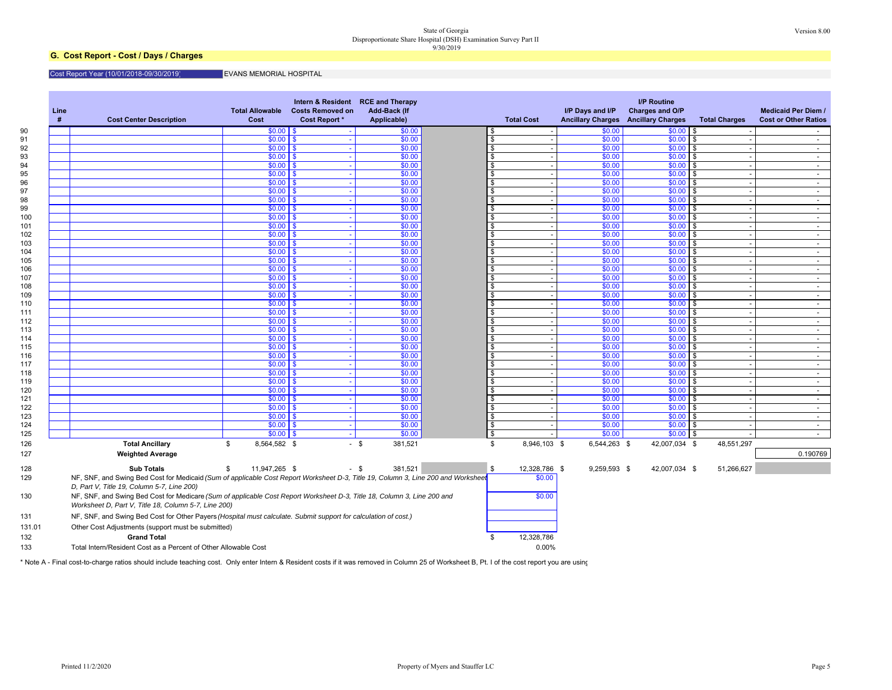#### State of Georgia Version 8.00 Disproportionate Share Hospital (DSH) Examination Survey Part II 9/30/2019

### **G. Cost Report - Cost / Days / Charges**

#### Cost Report Year (10/01/2018-09/30/2019) EVANS MEMORIAL HOSPITAL

| Line<br># | <b>Cost Center Description</b>                                                                                                                                                  | <b>Total Allowable</b><br>Cost | <b>Costs Removed on</b><br><b>Cost Report *</b> | Intern & Resident RCE and Therapy<br>Add-Back (If<br>Applicable) |                    | <b>Total Cost</b> | I/P Days and I/P | <b>I/P Routine</b><br>Charges and O/P<br><b>Ancillary Charges Ancillary Charges</b> | <b>Total Charges</b> | <b>Medicaid Per Diem /</b><br><b>Cost or Other Ratios</b> |
|-----------|---------------------------------------------------------------------------------------------------------------------------------------------------------------------------------|--------------------------------|-------------------------------------------------|------------------------------------------------------------------|--------------------|-------------------|------------------|-------------------------------------------------------------------------------------|----------------------|-----------------------------------------------------------|
|           |                                                                                                                                                                                 | $$0.00$ \$                     |                                                 | \$0.00                                                           |                    |                   | \$0.00           | $$0.00$ \$                                                                          |                      | $\sim 100$                                                |
|           |                                                                                                                                                                                 | $$0.00$ \ \$                   |                                                 | \$0.00                                                           |                    |                   | \$0.00           | $$0.00$ \$                                                                          |                      | $\sim$                                                    |
|           |                                                                                                                                                                                 | $$0.00$   \$                   |                                                 | \$0.00                                                           | -\$                |                   | \$0.00           | $$0.00$ \$                                                                          |                      | $\sim$                                                    |
|           |                                                                                                                                                                                 | $$0.00$   \$                   |                                                 | \$0.00                                                           | $\mathbf{\hat{f}}$ |                   | \$0.00           | \$0.00                                                                              | $\sqrt{3}$           | $\sim$                                                    |
|           |                                                                                                                                                                                 | $$0.00$   \$                   |                                                 | \$0.00                                                           | . ጽ                |                   | \$0.00           | $$0.00$ \$                                                                          |                      | $\sim$                                                    |
|           |                                                                                                                                                                                 | $$0.00$ \ \$                   | ۰.                                              | \$0.00                                                           | $\mathbf{\hat{f}}$ |                   | \$0.00           | $$0.00$ \$                                                                          |                      | $\sim$ $-$                                                |
|           |                                                                                                                                                                                 | $$0.00$ \ \$                   |                                                 | \$0.00                                                           | -S                 |                   | \$0.00           | $$0.00$ \$                                                                          |                      | $\sim$                                                    |
|           |                                                                                                                                                                                 | $$0.00$ \ \$                   |                                                 | \$0.00                                                           | $\mathbf{s}$       |                   | \$0.00           | \$0.00                                                                              | $\mathbf{s}$         | $\sim$                                                    |
|           |                                                                                                                                                                                 | $$0.00$   \$                   |                                                 | \$0.00                                                           | \$                 |                   | \$0.00           | \$0.00                                                                              | l \$                 | $\sim$                                                    |
|           |                                                                                                                                                                                 | $$0.00$   \$                   |                                                 | \$0.00                                                           | $\mathbf{s}$       |                   | \$0.00           | $$0.00$ \$                                                                          |                      | $\sim$                                                    |
|           |                                                                                                                                                                                 | $$0.00$   \$                   | <b>.</b>                                        | \$0.00                                                           | £.                 |                   | \$0.00           | $$0.00$ \$                                                                          |                      | $\sim$                                                    |
|           |                                                                                                                                                                                 | $$0.00$   \$                   |                                                 | \$0.00                                                           | . ጽ                |                   | \$0.00           | $$0.00$ \$                                                                          |                      | $\sim$                                                    |
|           |                                                                                                                                                                                 | $$0.00$   \$                   |                                                 | \$0.00                                                           | \$                 |                   | \$0.00           | $$0.00$ \$                                                                          |                      | $\sim$                                                    |
|           |                                                                                                                                                                                 | $$0.00$ \ \$                   |                                                 | \$0.00                                                           | \$                 |                   | \$0.00           | \$0.00                                                                              | <b>S</b>             | $\sim$                                                    |
|           |                                                                                                                                                                                 | $$0.00$ \ \$                   |                                                 | \$0.00                                                           | \$                 |                   | \$0.00           | \$0.00                                                                              | l \$                 | $\sim$                                                    |
|           |                                                                                                                                                                                 | $$0.00$   \$                   | $\sim$                                          | \$0.00                                                           | \$                 |                   | \$0.00           | \$0.00                                                                              | \$                   | $\sim$                                                    |
|           |                                                                                                                                                                                 | $$0.00$   \$                   |                                                 | \$0.00                                                           | -\$                |                   | \$0.00           | $$0.00$ \$                                                                          |                      | $\sim$                                                    |
|           |                                                                                                                                                                                 | $$0.00$ \ \$                   |                                                 | \$0.00                                                           | \$                 |                   | \$0.00           | \$0.00                                                                              | \$                   | $\sim$                                                    |
|           |                                                                                                                                                                                 | $$0.00$   \$                   |                                                 | \$0.00                                                           | \$                 |                   | \$0.00           | \$0.00                                                                              | <b>S</b>             | $\sim$                                                    |
|           |                                                                                                                                                                                 | $$0.00$   \$                   |                                                 | \$0.00                                                           | \$                 |                   | \$0.00           | $$0.00$ \$                                                                          |                      | $\sim$                                                    |
|           |                                                                                                                                                                                 | $$0.00$   \$                   | $\sim$                                          | \$0.00                                                           | \$                 |                   | \$0.00           | \$0.00                                                                              | <b>S</b>             | $\sim$ 100 $\mu$                                          |
|           |                                                                                                                                                                                 | $$0.00$   \$                   |                                                 | \$0.00                                                           | $\mathbf{\hat{f}}$ |                   | \$0.00           | \$0.00                                                                              | l \$                 | $\sim$                                                    |
|           |                                                                                                                                                                                 | $$0.00$   \$                   |                                                 | \$0.00                                                           | . ጽ                |                   | \$0.00           | \$0.00                                                                              | - \$                 | $\sim$ $-$                                                |
|           |                                                                                                                                                                                 | $$0.00$   \$                   |                                                 | \$0.00                                                           | £.                 |                   | \$0.00           | \$0.00                                                                              | l \$                 | $\sim$                                                    |
|           |                                                                                                                                                                                 | $$0.00$   \$                   |                                                 | \$0.00                                                           | \$                 |                   | \$0.00           | $$0.00$ \$                                                                          |                      | $\sim$                                                    |
|           |                                                                                                                                                                                 | $$0.00$ $\vert$ \$             | $\sim$                                          | \$0.00                                                           | \$                 |                   | \$0.00           | \$0.00                                                                              | \$                   | $\sim$ $-$                                                |
|           |                                                                                                                                                                                 | $$0.00$ \ \$                   |                                                 | \$0.00                                                           | $\mathbf{\hat{f}}$ |                   | \$0.00           | \$0.00                                                                              | <b>S</b>             | $\sim$                                                    |
|           |                                                                                                                                                                                 | $$0.00$ \ \$                   | ۰.                                              | \$0.00                                                           | \$                 |                   | \$0.00           | \$0.00                                                                              | <b>S</b>             | $\sim$ $-$                                                |
|           |                                                                                                                                                                                 | $$0.00$ \ \$                   |                                                 | \$0.00                                                           | \$                 |                   | \$0.00           | $$0.00$ \$                                                                          |                      | $\sim$                                                    |
|           |                                                                                                                                                                                 | $$0.00$   \$                   |                                                 | \$0.00                                                           | \$                 |                   | \$0.00           | $$0.00$ \$                                                                          |                      | $\sim$                                                    |
|           |                                                                                                                                                                                 | $$0.00$   \$                   | - 1                                             | \$0.00                                                           | \$                 |                   | \$0.00           | \$0.00                                                                              | \$                   | $\sim$                                                    |
|           |                                                                                                                                                                                 | $$0.00$ \ \$                   |                                                 | \$0.00                                                           | \$                 |                   | \$0.00           | $$0.00$ \$                                                                          |                      | $\sim$                                                    |
|           |                                                                                                                                                                                 | $$0.00$ \ \$                   | <b>.</b>                                        | \$0.00                                                           | \$                 |                   | \$0.00           | \$0.00                                                                              | <b>S</b>             | $\sim$                                                    |
|           |                                                                                                                                                                                 | $$0.00$ \ \$                   | ۰.                                              | \$0.00                                                           | \$                 |                   | \$0.00           | $$0.00$ \$                                                                          |                      | $\sim$                                                    |
|           |                                                                                                                                                                                 | $$0.00$ \ \$                   |                                                 | \$0.00                                                           | \$                 |                   | \$0.00           | $$0.00$ \$                                                                          |                      | $\sim 100$                                                |
|           |                                                                                                                                                                                 | $$0.00$ \ \$                   | $\sim$                                          | \$0.00                                                           | \$                 |                   | \$0.00           | $$0.00$ \$                                                                          |                      | $\sim$                                                    |
|           | <b>Total Ancillary</b>                                                                                                                                                          | 8,564,582 \$<br>\$             |                                                 | 381,521<br>- \$                                                  | \$                 | 8,946,103 \$      | 6,544,263 \$     | 42,007,034 \$                                                                       | 48,551,297           |                                                           |
|           | <b>Weighted Average</b>                                                                                                                                                         |                                |                                                 |                                                                  |                    |                   |                  |                                                                                     |                      | 0.190769                                                  |
|           | <b>Sub Totals</b>                                                                                                                                                               | \$<br>11,947,265 \$            |                                                 | 381.521<br>- \$                                                  | \$                 | 12,328,786 \$     | 9,259,593 \$     | 42,007,034 \$                                                                       | 51,266,627           |                                                           |
|           | NF, SNF, and Swing Bed Cost for Medicaid (Sum of applicable Cost Report Worksheet D-3, Title 19, Column 3, Line 200 and Worksheet<br>D, Part V, Title 19, Column 5-7, Line 200) |                                |                                                 |                                                                  |                    | \$0.00            |                  |                                                                                     |                      |                                                           |
|           | NF, SNF, and Swing Bed Cost for Medicare (Sum of applicable Cost Report Worksheet D-3, Title 18, Column 3, Line 200 and<br>Worksheet D, Part V, Title 18, Column 5-7, Line 200) |                                |                                                 |                                                                  |                    | \$0.00            |                  |                                                                                     |                      |                                                           |
|           | NF, SNF, and Swing Bed Cost for Other Payers (Hospital must calculate. Submit support for calculation of cost.)                                                                 |                                |                                                 |                                                                  |                    |                   |                  |                                                                                     |                      |                                                           |
|           | Other Cost Adjustments (support must be submitted)                                                                                                                              |                                |                                                 |                                                                  |                    |                   |                  |                                                                                     |                      |                                                           |
|           | <b>Grand Total</b>                                                                                                                                                              |                                |                                                 |                                                                  | \$                 | 12,328,786        |                  |                                                                                     |                      |                                                           |
|           | Total Intern/Resident Cost as a Percent of Other Allowable Cost                                                                                                                 |                                |                                                 |                                                                  |                    | 0.00%             |                  |                                                                                     |                      |                                                           |
|           |                                                                                                                                                                                 |                                |                                                 |                                                                  |                    |                   |                  |                                                                                     |                      |                                                           |

\* Note A - Final cost-to-charge ratios should include teaching cost. Only enter Intern & Resident costs if it was removed in Column 25 of Worksheet B, Pt. I of the cost report you are using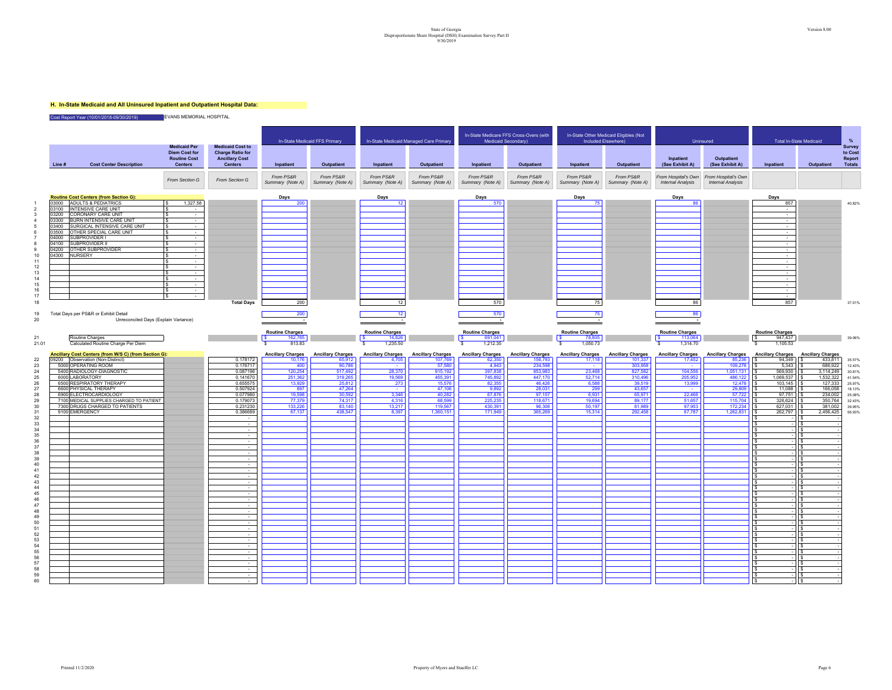## State of Georgia Version 8.00<br>Disproportionate Share Hospital (OSH) Examination Survey Part II<br>9/30/2019 Examination Survey Part II

#### **H. In-State Medicaid and All Uninsured Inpatient and Outpatient Hospital Data:**

Cost Report Year (10/01/2018-09/30/2019) EVANS MEMORIAL HOSPITAL

|                                         |               |                                                                               | <b>Medicaid Per</b>                                           | <b>Medicaid Cost to</b>                                            | In-State Medicaid FFS Primary   |                               | In-State Medicaid Managed Care Primary |                               |                               | In-State Medicare FFS Cross-Overs (with<br>In-State Other Medicaid Eligibles (Not<br>Medicaid Secondary)<br>Included Elsewhere) |                               |                               | Uninsured                                       |                                                 | <b>Total In-State Medicaid</b>    |                          | %<br>Survey                        |
|-----------------------------------------|---------------|-------------------------------------------------------------------------------|---------------------------------------------------------------|--------------------------------------------------------------------|---------------------------------|-------------------------------|----------------------------------------|-------------------------------|-------------------------------|---------------------------------------------------------------------------------------------------------------------------------|-------------------------------|-------------------------------|-------------------------------------------------|-------------------------------------------------|-----------------------------------|--------------------------|------------------------------------|
|                                         | Line#         | <b>Cost Center Description</b>                                                | <b>Diem Cost for</b><br><b>Routine Cost</b><br><b>Centers</b> | <b>Charge Ratio for</b><br><b>Ancillary Cost</b><br><b>Centers</b> | Inpatient                       | Outpatient                    | Inpatient                              | Outpatient                    | Inpatient                     | Outpatient                                                                                                                      | Inpatient                     | Outpatient                    | Inpatient<br>(See Exhibit A)                    | Outpatient<br>(See Exhibit A)                   | Inpatient                         | Outpatient               | to Cost<br>Report<br><b>Totals</b> |
|                                         |               |                                                                               | From Section G                                                | From Section G                                                     | From PS&R<br>Summary (Note A)   | From PS&R<br>Summary (Note A) | From PS&R<br>Summary (Note A)          | From PS&R<br>Summary (Note A) | From PS&R<br>Summary (Note A) | From PS&R<br>Summary (Note A)                                                                                                   | From PS&R<br>Summary (Note A) | From PS&R<br>Summary (Note A) | From Hospital's Own<br><b>Internal Analysis</b> | From Hospital's Own<br><b>Internal Analysis</b> |                                   |                          |                                    |
|                                         |               | <b>Routine Cost Centers (from Section G):</b>                                 |                                                               |                                                                    | Days                            |                               | Days                                   |                               | Days                          |                                                                                                                                 | Days                          |                               | Days                                            |                                                 | Days                              |                          |                                    |
|                                         |               | 03000 ADULTS & PEDIATRICS                                                     | 1,327.58<br>$\mathbf{s}$                                      |                                                                    | 200                             |                               | 12 <sup>2</sup>                        |                               | 570                           |                                                                                                                                 | 75                            |                               | 86                                              |                                                 | 857                               |                          | 40.82%                             |
| 3                                       |               | 03100 INTENSIVE CARE UNIT<br>03200 CORONARY CARE UNIT                         | $\sim$<br>$\sim 100$                                          |                                                                    |                                 |                               |                                        |                               |                               |                                                                                                                                 |                               |                               |                                                 |                                                 | $\sim$                            |                          |                                    |
| $\Delta$                                |               | 03300 BURN INTENSIVE CARE UNIT                                                | IS.<br>$\sim$ $-$                                             |                                                                    |                                 |                               |                                        |                               |                               |                                                                                                                                 |                               |                               |                                                 |                                                 | $\sim$                            |                          |                                    |
|                                         |               | 03400 SURGICAL INTENSIVE CARE UNIT                                            | $\sim$                                                        |                                                                    |                                 |                               |                                        |                               |                               |                                                                                                                                 |                               |                               |                                                 |                                                 | $\sim$                            |                          |                                    |
| 6                                       | 03500         | OTHER SPECIAL CARE UNIT<br>04000 SUBPROVIDER I                                | $\sim$<br>$\sim$                                              |                                                                    |                                 |                               |                                        |                               |                               |                                                                                                                                 |                               |                               |                                                 |                                                 | $\sim$<br>$\sim$                  |                          |                                    |
|                                         | 04100         | SUBPROVIDER II                                                                | $\sim$                                                        |                                                                    |                                 |                               |                                        |                               |                               |                                                                                                                                 |                               |                               |                                                 |                                                 | $\sim$                            |                          |                                    |
| -9                                      | 04300 NURSERY | 04200 OTHER SUBPROVIDER                                                       | $\sim$<br>$\sim$                                              |                                                                    |                                 |                               |                                        |                               |                               |                                                                                                                                 |                               |                               |                                                 |                                                 | $\sim$                            |                          |                                    |
| 10<br>11                                |               |                                                                               |                                                               |                                                                    |                                 |                               |                                        |                               |                               |                                                                                                                                 |                               |                               |                                                 |                                                 | $\sim$                            |                          |                                    |
| 12                                      |               |                                                                               | ١s<br>$\sim$ 100 $\mu$                                        |                                                                    |                                 |                               |                                        |                               |                               |                                                                                                                                 |                               |                               |                                                 |                                                 | $\sim$                            |                          |                                    |
| 13<br>14                                |               |                                                                               | $\sim$<br>$\sim$                                              |                                                                    |                                 |                               |                                        |                               |                               |                                                                                                                                 |                               |                               |                                                 |                                                 | $\sim$<br>$\sim$                  |                          |                                    |
| 15                                      |               |                                                                               |                                                               |                                                                    |                                 |                               |                                        |                               |                               |                                                                                                                                 |                               |                               |                                                 |                                                 |                                   |                          |                                    |
| 16                                      |               |                                                                               |                                                               |                                                                    |                                 |                               |                                        |                               |                               |                                                                                                                                 |                               |                               |                                                 |                                                 | $\sim$                            |                          |                                    |
| 17<br>18                                |               |                                                                               | l s<br>$\sim$                                                 | <b>Total Days</b>                                                  | 200                             |                               | 12                                     |                               | 570                           |                                                                                                                                 | 75                            |                               | 86                                              |                                                 | $\sim$<br>857                     |                          | 37.01%                             |
|                                         |               |                                                                               |                                                               |                                                                    |                                 |                               |                                        |                               |                               |                                                                                                                                 |                               |                               |                                                 |                                                 |                                   |                          |                                    |
| 19<br>20                                |               | Total Days per PS&R or Exhibit Detail<br>Unreconciled Days (Explain Variance) |                                                               |                                                                    | 200                             |                               | 12 <sup>°</sup>                        |                               | 570                           |                                                                                                                                 | 75                            |                               | 86                                              |                                                 |                                   |                          |                                    |
|                                         |               |                                                                               |                                                               |                                                                    |                                 |                               |                                        |                               |                               |                                                                                                                                 |                               |                               |                                                 |                                                 |                                   |                          |                                    |
| 21                                      |               |                                                                               |                                                               |                                                                    | <b>Routine Charges</b>          |                               | <b>Routine Charges</b>                 |                               | <b>Routine Charges</b>        |                                                                                                                                 | <b>Routine Charges</b>        |                               | <b>Routine Charges</b>                          |                                                 | <b>Routine Charges</b><br>947,437 |                          |                                    |
| 21.01                                   |               | Routine Charges<br>Calculated Routine Charge Per Diem                         |                                                               |                                                                    | l s<br>162,765<br>813.83<br>-S. |                               | 14,826<br>1,235.50                     |                               | 691,041<br>1.212.35<br>s.     |                                                                                                                                 | 78,805<br>1,050.73            |                               | 113,064<br>1.314.70<br>s.                       |                                                 | 1,105.53                          |                          | 39.06%                             |
|                                         |               | Ancillary Cost Centers (from W/S C) (from Section G):                         |                                                               |                                                                    | <b>Ancillary Charges</b>        | <b>Ancillary Charges</b>      | <b>Ancillary Charges</b>               | <b>Ancillary Charges</b>      | <b>Ancillary Charges</b>      | <b>Ancillary Charges</b>                                                                                                        | <b>Ancillary Charges</b>      | <b>Ancillary Charges</b>      | <b>Ancillary Charges</b>                        | <b>Ancillary Charges</b>                        | <b>Ancillary Charges</b>          | <b>Ancillary Charges</b> |                                    |
| 22                                      |               | 09200 Observation (Non-Distinct)                                              |                                                               | 0.178172                                                           | 10,176                          | 65,912                        | 4,705                                  | 107,769                       | 62,350                        | 158,793                                                                                                                         | 17,118                        | 101,337                       | 17,452                                          | 85,236                                          | 94,349                            | 433,811                  | 35.57%                             |
| 23<br>24                                |               | 5000 OPERATING ROOM<br>5400 RADIOLOGY-DIAGNOSTIC                              |                                                               | 0.176717<br>0.087196                                               | 400<br>120,254                  | 90,786<br>517,492             | 28,370                                 | 57,580<br>915,192             | 4,943<br>397,838              | 234,598<br>853,983                                                                                                              | 23,468                        | 303,958<br>827,582            | 104,556                                         | 109,278<br>1,051,131                            | 5,343<br>569,930                  | 686,922<br>3,114,249     | 12.43%<br>30.81%                   |
| 25                                      |               | 6000 LABORATORY                                                               |                                                               | 0.141670                                                           | 251,362                         | 319,265                       | 19,569                                 | 455.391                       | 745.892                       | 447,170                                                                                                                         | 52,714                        | 310.496                       | 205.952                                         | 486.122                                         | 1.069.537                         | 1.532.322                | 41.54%                             |
| 26                                      |               | 6500 RESPIRATORY THERAPY                                                      |                                                               | 0.655575                                                           | 13,929                          | 25,812                        | 273                                    | 15,576                        | 82,355                        | 46,426                                                                                                                          | 6,588                         | 39,519                        | 13,999                                          | 12,478                                          | 103,145                           | 127,333                  | 25.97%                             |
| 27<br>28                                |               | 6600 PHYSICAL THERAPY<br>6900 ELECTROCARDIOLOGY                               |                                                               | 0.507924<br>0.077980                                               | 897<br>19,598                   | 47,264<br>30,592              | $\sim$<br>3,346                        | 47,106<br>40,282              | 9,892<br>67,876               | 28,031<br>97,157                                                                                                                | 299<br>6,931                  | 43,657<br>65,971              | $\sim$<br>22,466                                | 29,809<br>57,722                                | 11,088<br>97,751                  | 166,058<br>234,002       | 18.13%<br>25.08%                   |
| 29                                      |               | 7100 MEDICAL SUPPLIES CHARGED TO PATIENT                                      |                                                               | 0.179073                                                           | 77.379                          | 74,317                        | 4,316                                  | 68,599                        | 225,235                       | 118,671                                                                                                                         | 19.694                        | 89,177                        | 51.657                                          | 115,704                                         | 326.624                           | 350,764                  | 32.43%                             |
| 30                                      |               | 7300 DRUGS CHARGED TO PATIENTS                                                |                                                               | 0.231230                                                           | 133.226                         | 83.140                        | 13.217                                 | 119,567                       | 430.391                       | 96,306                                                                                                                          | 50.197                        | 81.989                        | 97.953                                          | 172.234                                         | 627.031                           | 381.002                  | 39.95%                             |
| 31<br>32                                |               | 9100 EMERGENCY                                                                |                                                               | 0.386689<br>$\sim$                                                 | 67,137                          | 438,547                       | 8,397                                  | 1,360,151                     | 171,949                       | 365,269                                                                                                                         | 15,314                        | 292,458                       | 67,787                                          | 1,262,831                                       | 262,797                           | 2,456,425                | 56.93%                             |
| 33                                      |               |                                                                               |                                                               | $\sim$ $-$                                                         |                                 |                               |                                        |                               |                               |                                                                                                                                 |                               |                               |                                                 |                                                 |                                   |                          |                                    |
| 34<br>35                                |               |                                                                               |                                                               | $\sim$<br>$\sim$                                                   |                                 |                               |                                        |                               |                               |                                                                                                                                 |                               |                               |                                                 |                                                 |                                   |                          |                                    |
| 36                                      |               |                                                                               |                                                               | $\sim$                                                             |                                 |                               |                                        |                               |                               |                                                                                                                                 |                               |                               |                                                 |                                                 |                                   |                          |                                    |
| 37                                      |               |                                                                               |                                                               | $\sim$                                                             |                                 |                               |                                        |                               |                               |                                                                                                                                 |                               |                               |                                                 |                                                 |                                   |                          |                                    |
| 38<br>39                                |               |                                                                               |                                                               | $\sim$<br>$\sim$                                                   |                                 |                               |                                        |                               |                               |                                                                                                                                 |                               |                               |                                                 |                                                 |                                   |                          |                                    |
| 40                                      |               |                                                                               |                                                               | $\sim$                                                             |                                 |                               |                                        |                               |                               |                                                                                                                                 |                               |                               |                                                 |                                                 |                                   |                          |                                    |
| 41<br>42                                |               |                                                                               |                                                               | $\sim$<br>$\sim$                                                   |                                 |                               |                                        |                               |                               |                                                                                                                                 |                               |                               |                                                 |                                                 |                                   |                          |                                    |
| 43                                      |               |                                                                               |                                                               | $\sim$                                                             |                                 |                               |                                        |                               |                               |                                                                                                                                 |                               |                               |                                                 |                                                 |                                   |                          |                                    |
| 44                                      |               |                                                                               |                                                               | $\sim$                                                             |                                 |                               |                                        |                               |                               |                                                                                                                                 |                               |                               |                                                 |                                                 |                                   |                          |                                    |
| 45<br>46                                |               |                                                                               |                                                               | $\sim$                                                             |                                 |                               |                                        |                               |                               |                                                                                                                                 |                               |                               |                                                 |                                                 |                                   |                          |                                    |
| 47                                      |               |                                                                               |                                                               | $\sim$                                                             |                                 |                               |                                        |                               |                               |                                                                                                                                 |                               |                               |                                                 |                                                 |                                   |                          |                                    |
| 48                                      |               |                                                                               |                                                               | $\sim$                                                             |                                 |                               |                                        |                               |                               |                                                                                                                                 |                               |                               |                                                 |                                                 |                                   |                          |                                    |
| $\begin{array}{c} 49 \\ 50 \end{array}$ |               |                                                                               |                                                               | $\sim$                                                             |                                 |                               |                                        |                               |                               |                                                                                                                                 |                               |                               |                                                 |                                                 |                                   |                          |                                    |
| ${\bf 51}$                              |               |                                                                               |                                                               | $\sim$                                                             |                                 |                               |                                        |                               |                               |                                                                                                                                 |                               |                               |                                                 |                                                 |                                   |                          |                                    |
| 52<br>53                                |               |                                                                               |                                                               | $\sim$                                                             |                                 |                               |                                        |                               |                               |                                                                                                                                 |                               |                               |                                                 |                                                 |                                   |                          |                                    |
| 54                                      |               |                                                                               |                                                               | $\sim$<br>$\sim$                                                   |                                 |                               |                                        |                               |                               |                                                                                                                                 |                               |                               |                                                 |                                                 |                                   |                          |                                    |
| 55                                      |               |                                                                               |                                                               |                                                                    |                                 |                               |                                        |                               |                               |                                                                                                                                 |                               |                               |                                                 |                                                 |                                   |                          |                                    |
| 56<br>57                                |               |                                                                               |                                                               | $\sim$<br>$\sim$                                                   |                                 |                               |                                        |                               |                               |                                                                                                                                 |                               |                               |                                                 |                                                 |                                   |                          |                                    |
| 58                                      |               |                                                                               |                                                               | $\sim$                                                             |                                 |                               |                                        |                               |                               |                                                                                                                                 |                               |                               |                                                 |                                                 |                                   |                          |                                    |
| 59<br>60                                |               |                                                                               |                                                               | $\sim$                                                             |                                 |                               |                                        |                               |                               |                                                                                                                                 |                               |                               |                                                 |                                                 |                                   |                          |                                    |
|                                         |               |                                                                               |                                                               |                                                                    |                                 |                               |                                        |                               |                               |                                                                                                                                 |                               |                               |                                                 |                                                 |                                   |                          |                                    |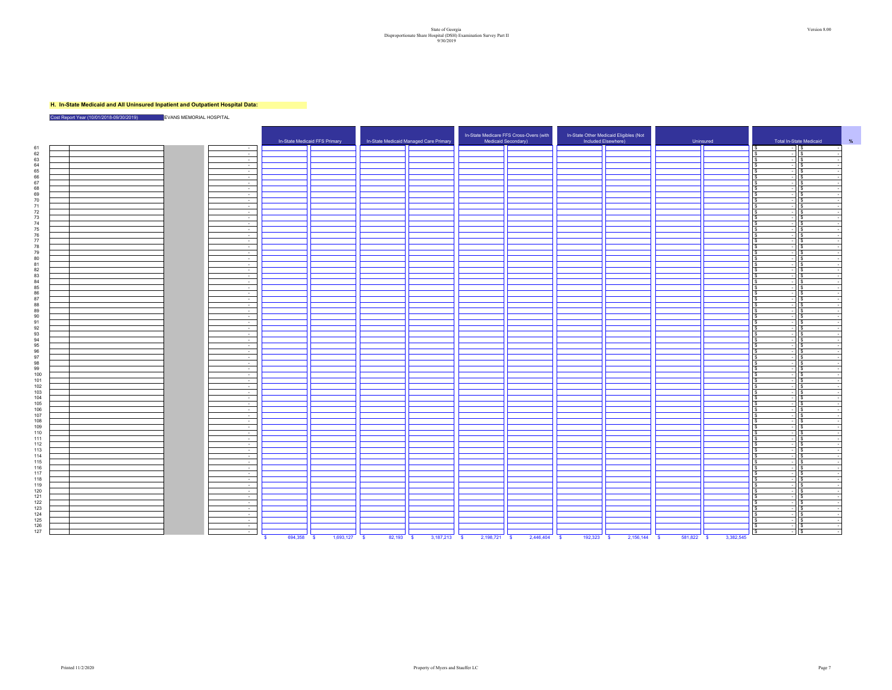## State of Georgia Version 8.00<br>Disproportionate Share Hospital (OSH) Examination Survey Part II<br>9/30/2019 Examination Survey Part II

#### **H. In-State Medicaid and All Uninsured Inpatient and Outpatient Hospital Data:**

Cost Report Year (10/01/2018-09/30/2019) EVANS MEMORIAL HOSPITAL

| 61<br>- IS<br>$\sim$<br>$\sim$<br>62<br>$\sqrt{3}$<br>$\sim$<br>l S<br>$\overline{\phantom{a}}$<br>63<br>$\sim$ $\sim$<br>$\overline{a}$<br>l S<br>l S<br>$64$<br>$65$<br>$66$<br>$67$<br>$\sim 10^{-1}$<br>$\sim$ 1<br>l s<br>١s<br>$\sim 10^{-1}$<br>$\overline{a}$<br>l S<br>$\sim 10^{-1}$<br>l \$<br><b>IS</b><br>l s<br><b>Contract</b><br>68<br>69<br>70<br>$\sim 10^{-1}$<br>١s<br>١s<br>$\overline{\phantom{a}}$<br>$\sim$<br>l S<br>$-115$<br>$\sim 10^{-11}$<br>$-115$<br>s.<br>$\overline{\phantom{a}}$<br>71<br>$\sim$<br>$\frac{72}{73}$<br>l S<br>l s<br>$\sim$<br>$\sim$<br>$\sim$<br>$\sqrt{s}$<br>l S<br>$\overline{\phantom{0}}$<br>74<br>$\sim 10^{-1}$<br>$-11s$<br>$75$<br>$76$<br>$77$<br>$\sim 10^{-1}$<br><b>S</b><br>$-11s$<br>$\sim$<br>$\sqrt{s}$<br>$ \frac{1}{3}$<br>$\sim$<br>$\mathbf{s}$<br>78<br>$\overline{\phantom{a}}$<br>$\mathbf{s}$<br>- IS<br>79<br>$\sim$<br>$\mathbf{s}$<br>$-11s$<br>80<br>81<br>82<br>83<br>84<br>85<br>86<br>87<br>$\sim$<br>l s<br>$\overline{a}$<br>$\sqrt{s}$<br>$\sim$<br>Ξ<br>l s<br>s.<br>÷<br>'S<br>l s<br>$\overline{\phantom{a}}$<br>l S<br>-S<br>$\overline{a}$<br>$\sim 10^{-1}$<br>$\overline{z}$<br>l s<br>- S<br>$\sim 10^{-1}$<br>$\overline{z}$<br><b>IS</b><br>l S<br>$\sim 10^{-1}$<br><b>S</b><br>$ \vert$ s<br>$\sim$<br>$-11s$<br>l S<br>88<br>$\sim$<br>$\mathbf{s}$<br>$-115$<br>$\begin{array}{c} 89 \\ 90 \end{array}$<br>$\sim$<br>$\sim$ 1<br>١s<br>$\sim 10^{-11}$<br>$-11s$<br>s.<br>91<br>$\sim$<br>÷<br>l s<br>-S.<br>92<br>$\sim 10^{-11}$<br>l S<br>l S<br>$\sim$<br>$93$<br>$94$<br>$95$<br>$96$<br>$97$<br>$98$<br>$\sim 10^{-11}$<br>$\overline{a}$<br>-S<br>ΙS<br>$\sim$ $-$<br>$\overline{z}$<br>$\sqrt{ }$<br>$\sim 100$<br>l \$<br>$-11s$<br>$\sim$<br>-S<br><b>IS</b><br>l S<br>$\sqrt{s}$<br>$\sim$ 100 $\mu$<br>$\sim$<br>$\mathbf{s}$<br>$\sqrt{s}$<br>÷<br>99<br>$-15$<br>l S<br>$\sim 10^{-1}$<br>100<br>$\overline{\phantom{a}}$<br>l S<br><b>S</b><br>$\overline{\phantom{a}}$<br>$\frac{101}{102}$<br>$\sim$<br>s<br>s<br>$\sim$<br>$\mathbf{s}$<br>l s<br>$\sim$<br>103<br>$\sim$<br>$\sqrt{s}$<br>l S<br>$\overline{\phantom{0}}$<br>104<br>$\sim 10^{-1}$<br>$\overline{z}$<br>١s<br>$105$<br>$106$<br>$107$<br>$\sim 10^{-1}$<br>$\overline{a}$<br>l S<br>$\sqrt{ }$<br>$\sim 10^{-1}$<br><b>S</b><br>$-11s$<br>$\sim$<br>$\mathbf{s}$<br>$-11s$<br>108<br>$\sim$<br>'S<br>$-15$<br>109<br>$\sim$<br>$-11s$<br>110<br>$-1$ 5<br>$\sim$<br>l \$<br>111<br>$\sim$<br><b>S</b><br>÷<br>ls.<br>112<br>$\sim 10^{-1}$<br>$\mathbf{s}$<br>$\sqrt{s}$<br>$\sim$<br>113<br>$\sim 10^{-11}$<br>$\overline{z}$<br>l s<br>114<br>$\sim$<br>l S<br>$-11s$<br>115<br>$\sim 10^{-1}$<br>$-11s$<br>l \$<br>116<br>$\sim 10^{-1}$<br><b>S</b><br>$\sqrt{s}$<br>$\overline{\phantom{0}}$<br>117<br>l s<br>$\sqrt{s}$<br>$\sim$ 100 $\mu$<br>118<br>$\sim 10^{-11}$<br>١s<br>119<br>$\sim 10^{-1}$<br>$-115$<br>I S<br>120<br>$\sim$<br>÷<br>l s<br>-S<br>121<br>J.<br>-S<br>$\frac{122}{123}$<br>$\sim$<br>$\sim 10^{-11}$<br>$\sim$<br>١s<br>IS.<br>124<br>$\sim$ $-$<br>l S<br>$\overline{z}$<br><b>IS</b><br>$\begin{array}{c} 125 \\ 126 \\ 127 \end{array}$<br>$\sim 10^{-1}$<br><b>S</b><br>$-11s$ |  | In-State Medicaid FFS Primary | In-State Medicaid Managed Care Primary | In-State Medicare FFS Cross-Overs (with<br>Medicaid Secondary) |  | In-State Other Medicaid Eligibles (Not<br>Included Elsewhere) |  | Uninsured |  | Total In-State Medicaid | $\%$ |
|------------------------------------------------------------------------------------------------------------------------------------------------------------------------------------------------------------------------------------------------------------------------------------------------------------------------------------------------------------------------------------------------------------------------------------------------------------------------------------------------------------------------------------------------------------------------------------------------------------------------------------------------------------------------------------------------------------------------------------------------------------------------------------------------------------------------------------------------------------------------------------------------------------------------------------------------------------------------------------------------------------------------------------------------------------------------------------------------------------------------------------------------------------------------------------------------------------------------------------------------------------------------------------------------------------------------------------------------------------------------------------------------------------------------------------------------------------------------------------------------------------------------------------------------------------------------------------------------------------------------------------------------------------------------------------------------------------------------------------------------------------------------------------------------------------------------------------------------------------------------------------------------------------------------------------------------------------------------------------------------------------------------------------------------------------------------------------------------------------------------------------------------------------------------------------------------------------------------------------------------------------------------------------------------------------------------------------------------------------------------------------------------------------------------------------------------------------------------------------------------------------------------------------------------------------------------------------------------------------------------------------------------------------------------------------------------------------------------------------------------------------------------------------------------------------------------------------------------------------------------------------------------------------------------------------------------------------------------------------------------------------------------------------------------------------------------------------------------------------------------------------------------------------------------------------------------------------|--|-------------------------------|----------------------------------------|----------------------------------------------------------------|--|---------------------------------------------------------------|--|-----------|--|-------------------------|------|
|                                                                                                                                                                                                                                                                                                                                                                                                                                                                                                                                                                                                                                                                                                                                                                                                                                                                                                                                                                                                                                                                                                                                                                                                                                                                                                                                                                                                                                                                                                                                                                                                                                                                                                                                                                                                                                                                                                                                                                                                                                                                                                                                                                                                                                                                                                                                                                                                                                                                                                                                                                                                                                                                                                                                                                                                                                                                                                                                                                                                                                                                                                                                                                                                            |  |                               |                                        |                                                                |  |                                                               |  |           |  |                         |      |
|                                                                                                                                                                                                                                                                                                                                                                                                                                                                                                                                                                                                                                                                                                                                                                                                                                                                                                                                                                                                                                                                                                                                                                                                                                                                                                                                                                                                                                                                                                                                                                                                                                                                                                                                                                                                                                                                                                                                                                                                                                                                                                                                                                                                                                                                                                                                                                                                                                                                                                                                                                                                                                                                                                                                                                                                                                                                                                                                                                                                                                                                                                                                                                                                            |  |                               |                                        |                                                                |  |                                                               |  |           |  |                         |      |
|                                                                                                                                                                                                                                                                                                                                                                                                                                                                                                                                                                                                                                                                                                                                                                                                                                                                                                                                                                                                                                                                                                                                                                                                                                                                                                                                                                                                                                                                                                                                                                                                                                                                                                                                                                                                                                                                                                                                                                                                                                                                                                                                                                                                                                                                                                                                                                                                                                                                                                                                                                                                                                                                                                                                                                                                                                                                                                                                                                                                                                                                                                                                                                                                            |  |                               |                                        |                                                                |  |                                                               |  |           |  |                         |      |
|                                                                                                                                                                                                                                                                                                                                                                                                                                                                                                                                                                                                                                                                                                                                                                                                                                                                                                                                                                                                                                                                                                                                                                                                                                                                                                                                                                                                                                                                                                                                                                                                                                                                                                                                                                                                                                                                                                                                                                                                                                                                                                                                                                                                                                                                                                                                                                                                                                                                                                                                                                                                                                                                                                                                                                                                                                                                                                                                                                                                                                                                                                                                                                                                            |  |                               |                                        |                                                                |  |                                                               |  |           |  |                         |      |
|                                                                                                                                                                                                                                                                                                                                                                                                                                                                                                                                                                                                                                                                                                                                                                                                                                                                                                                                                                                                                                                                                                                                                                                                                                                                                                                                                                                                                                                                                                                                                                                                                                                                                                                                                                                                                                                                                                                                                                                                                                                                                                                                                                                                                                                                                                                                                                                                                                                                                                                                                                                                                                                                                                                                                                                                                                                                                                                                                                                                                                                                                                                                                                                                            |  |                               |                                        |                                                                |  |                                                               |  |           |  |                         |      |
|                                                                                                                                                                                                                                                                                                                                                                                                                                                                                                                                                                                                                                                                                                                                                                                                                                                                                                                                                                                                                                                                                                                                                                                                                                                                                                                                                                                                                                                                                                                                                                                                                                                                                                                                                                                                                                                                                                                                                                                                                                                                                                                                                                                                                                                                                                                                                                                                                                                                                                                                                                                                                                                                                                                                                                                                                                                                                                                                                                                                                                                                                                                                                                                                            |  |                               |                                        |                                                                |  |                                                               |  |           |  |                         |      |
|                                                                                                                                                                                                                                                                                                                                                                                                                                                                                                                                                                                                                                                                                                                                                                                                                                                                                                                                                                                                                                                                                                                                                                                                                                                                                                                                                                                                                                                                                                                                                                                                                                                                                                                                                                                                                                                                                                                                                                                                                                                                                                                                                                                                                                                                                                                                                                                                                                                                                                                                                                                                                                                                                                                                                                                                                                                                                                                                                                                                                                                                                                                                                                                                            |  |                               |                                        |                                                                |  |                                                               |  |           |  |                         |      |
|                                                                                                                                                                                                                                                                                                                                                                                                                                                                                                                                                                                                                                                                                                                                                                                                                                                                                                                                                                                                                                                                                                                                                                                                                                                                                                                                                                                                                                                                                                                                                                                                                                                                                                                                                                                                                                                                                                                                                                                                                                                                                                                                                                                                                                                                                                                                                                                                                                                                                                                                                                                                                                                                                                                                                                                                                                                                                                                                                                                                                                                                                                                                                                                                            |  |                               |                                        |                                                                |  |                                                               |  |           |  |                         |      |
|                                                                                                                                                                                                                                                                                                                                                                                                                                                                                                                                                                                                                                                                                                                                                                                                                                                                                                                                                                                                                                                                                                                                                                                                                                                                                                                                                                                                                                                                                                                                                                                                                                                                                                                                                                                                                                                                                                                                                                                                                                                                                                                                                                                                                                                                                                                                                                                                                                                                                                                                                                                                                                                                                                                                                                                                                                                                                                                                                                                                                                                                                                                                                                                                            |  |                               |                                        |                                                                |  |                                                               |  |           |  |                         |      |
|                                                                                                                                                                                                                                                                                                                                                                                                                                                                                                                                                                                                                                                                                                                                                                                                                                                                                                                                                                                                                                                                                                                                                                                                                                                                                                                                                                                                                                                                                                                                                                                                                                                                                                                                                                                                                                                                                                                                                                                                                                                                                                                                                                                                                                                                                                                                                                                                                                                                                                                                                                                                                                                                                                                                                                                                                                                                                                                                                                                                                                                                                                                                                                                                            |  |                               |                                        |                                                                |  |                                                               |  |           |  |                         |      |
|                                                                                                                                                                                                                                                                                                                                                                                                                                                                                                                                                                                                                                                                                                                                                                                                                                                                                                                                                                                                                                                                                                                                                                                                                                                                                                                                                                                                                                                                                                                                                                                                                                                                                                                                                                                                                                                                                                                                                                                                                                                                                                                                                                                                                                                                                                                                                                                                                                                                                                                                                                                                                                                                                                                                                                                                                                                                                                                                                                                                                                                                                                                                                                                                            |  |                               |                                        |                                                                |  |                                                               |  |           |  |                         |      |
|                                                                                                                                                                                                                                                                                                                                                                                                                                                                                                                                                                                                                                                                                                                                                                                                                                                                                                                                                                                                                                                                                                                                                                                                                                                                                                                                                                                                                                                                                                                                                                                                                                                                                                                                                                                                                                                                                                                                                                                                                                                                                                                                                                                                                                                                                                                                                                                                                                                                                                                                                                                                                                                                                                                                                                                                                                                                                                                                                                                                                                                                                                                                                                                                            |  |                               |                                        |                                                                |  |                                                               |  |           |  |                         |      |
|                                                                                                                                                                                                                                                                                                                                                                                                                                                                                                                                                                                                                                                                                                                                                                                                                                                                                                                                                                                                                                                                                                                                                                                                                                                                                                                                                                                                                                                                                                                                                                                                                                                                                                                                                                                                                                                                                                                                                                                                                                                                                                                                                                                                                                                                                                                                                                                                                                                                                                                                                                                                                                                                                                                                                                                                                                                                                                                                                                                                                                                                                                                                                                                                            |  |                               |                                        |                                                                |  |                                                               |  |           |  |                         |      |
|                                                                                                                                                                                                                                                                                                                                                                                                                                                                                                                                                                                                                                                                                                                                                                                                                                                                                                                                                                                                                                                                                                                                                                                                                                                                                                                                                                                                                                                                                                                                                                                                                                                                                                                                                                                                                                                                                                                                                                                                                                                                                                                                                                                                                                                                                                                                                                                                                                                                                                                                                                                                                                                                                                                                                                                                                                                                                                                                                                                                                                                                                                                                                                                                            |  |                               |                                        |                                                                |  |                                                               |  |           |  |                         |      |
|                                                                                                                                                                                                                                                                                                                                                                                                                                                                                                                                                                                                                                                                                                                                                                                                                                                                                                                                                                                                                                                                                                                                                                                                                                                                                                                                                                                                                                                                                                                                                                                                                                                                                                                                                                                                                                                                                                                                                                                                                                                                                                                                                                                                                                                                                                                                                                                                                                                                                                                                                                                                                                                                                                                                                                                                                                                                                                                                                                                                                                                                                                                                                                                                            |  |                               |                                        |                                                                |  |                                                               |  |           |  |                         |      |
|                                                                                                                                                                                                                                                                                                                                                                                                                                                                                                                                                                                                                                                                                                                                                                                                                                                                                                                                                                                                                                                                                                                                                                                                                                                                                                                                                                                                                                                                                                                                                                                                                                                                                                                                                                                                                                                                                                                                                                                                                                                                                                                                                                                                                                                                                                                                                                                                                                                                                                                                                                                                                                                                                                                                                                                                                                                                                                                                                                                                                                                                                                                                                                                                            |  |                               |                                        |                                                                |  |                                                               |  |           |  |                         |      |
|                                                                                                                                                                                                                                                                                                                                                                                                                                                                                                                                                                                                                                                                                                                                                                                                                                                                                                                                                                                                                                                                                                                                                                                                                                                                                                                                                                                                                                                                                                                                                                                                                                                                                                                                                                                                                                                                                                                                                                                                                                                                                                                                                                                                                                                                                                                                                                                                                                                                                                                                                                                                                                                                                                                                                                                                                                                                                                                                                                                                                                                                                                                                                                                                            |  |                               |                                        |                                                                |  |                                                               |  |           |  |                         |      |
|                                                                                                                                                                                                                                                                                                                                                                                                                                                                                                                                                                                                                                                                                                                                                                                                                                                                                                                                                                                                                                                                                                                                                                                                                                                                                                                                                                                                                                                                                                                                                                                                                                                                                                                                                                                                                                                                                                                                                                                                                                                                                                                                                                                                                                                                                                                                                                                                                                                                                                                                                                                                                                                                                                                                                                                                                                                                                                                                                                                                                                                                                                                                                                                                            |  |                               |                                        |                                                                |  |                                                               |  |           |  |                         |      |
|                                                                                                                                                                                                                                                                                                                                                                                                                                                                                                                                                                                                                                                                                                                                                                                                                                                                                                                                                                                                                                                                                                                                                                                                                                                                                                                                                                                                                                                                                                                                                                                                                                                                                                                                                                                                                                                                                                                                                                                                                                                                                                                                                                                                                                                                                                                                                                                                                                                                                                                                                                                                                                                                                                                                                                                                                                                                                                                                                                                                                                                                                                                                                                                                            |  |                               |                                        |                                                                |  |                                                               |  |           |  |                         |      |
|                                                                                                                                                                                                                                                                                                                                                                                                                                                                                                                                                                                                                                                                                                                                                                                                                                                                                                                                                                                                                                                                                                                                                                                                                                                                                                                                                                                                                                                                                                                                                                                                                                                                                                                                                                                                                                                                                                                                                                                                                                                                                                                                                                                                                                                                                                                                                                                                                                                                                                                                                                                                                                                                                                                                                                                                                                                                                                                                                                                                                                                                                                                                                                                                            |  |                               |                                        |                                                                |  |                                                               |  |           |  |                         |      |
|                                                                                                                                                                                                                                                                                                                                                                                                                                                                                                                                                                                                                                                                                                                                                                                                                                                                                                                                                                                                                                                                                                                                                                                                                                                                                                                                                                                                                                                                                                                                                                                                                                                                                                                                                                                                                                                                                                                                                                                                                                                                                                                                                                                                                                                                                                                                                                                                                                                                                                                                                                                                                                                                                                                                                                                                                                                                                                                                                                                                                                                                                                                                                                                                            |  |                               |                                        |                                                                |  |                                                               |  |           |  |                         |      |
|                                                                                                                                                                                                                                                                                                                                                                                                                                                                                                                                                                                                                                                                                                                                                                                                                                                                                                                                                                                                                                                                                                                                                                                                                                                                                                                                                                                                                                                                                                                                                                                                                                                                                                                                                                                                                                                                                                                                                                                                                                                                                                                                                                                                                                                                                                                                                                                                                                                                                                                                                                                                                                                                                                                                                                                                                                                                                                                                                                                                                                                                                                                                                                                                            |  |                               |                                        |                                                                |  |                                                               |  |           |  |                         |      |
|                                                                                                                                                                                                                                                                                                                                                                                                                                                                                                                                                                                                                                                                                                                                                                                                                                                                                                                                                                                                                                                                                                                                                                                                                                                                                                                                                                                                                                                                                                                                                                                                                                                                                                                                                                                                                                                                                                                                                                                                                                                                                                                                                                                                                                                                                                                                                                                                                                                                                                                                                                                                                                                                                                                                                                                                                                                                                                                                                                                                                                                                                                                                                                                                            |  |                               |                                        |                                                                |  |                                                               |  |           |  |                         |      |
|                                                                                                                                                                                                                                                                                                                                                                                                                                                                                                                                                                                                                                                                                                                                                                                                                                                                                                                                                                                                                                                                                                                                                                                                                                                                                                                                                                                                                                                                                                                                                                                                                                                                                                                                                                                                                                                                                                                                                                                                                                                                                                                                                                                                                                                                                                                                                                                                                                                                                                                                                                                                                                                                                                                                                                                                                                                                                                                                                                                                                                                                                                                                                                                                            |  |                               |                                        |                                                                |  |                                                               |  |           |  |                         |      |
|                                                                                                                                                                                                                                                                                                                                                                                                                                                                                                                                                                                                                                                                                                                                                                                                                                                                                                                                                                                                                                                                                                                                                                                                                                                                                                                                                                                                                                                                                                                                                                                                                                                                                                                                                                                                                                                                                                                                                                                                                                                                                                                                                                                                                                                                                                                                                                                                                                                                                                                                                                                                                                                                                                                                                                                                                                                                                                                                                                                                                                                                                                                                                                                                            |  |                               |                                        |                                                                |  |                                                               |  |           |  |                         |      |
|                                                                                                                                                                                                                                                                                                                                                                                                                                                                                                                                                                                                                                                                                                                                                                                                                                                                                                                                                                                                                                                                                                                                                                                                                                                                                                                                                                                                                                                                                                                                                                                                                                                                                                                                                                                                                                                                                                                                                                                                                                                                                                                                                                                                                                                                                                                                                                                                                                                                                                                                                                                                                                                                                                                                                                                                                                                                                                                                                                                                                                                                                                                                                                                                            |  |                               |                                        |                                                                |  |                                                               |  |           |  |                         |      |
|                                                                                                                                                                                                                                                                                                                                                                                                                                                                                                                                                                                                                                                                                                                                                                                                                                                                                                                                                                                                                                                                                                                                                                                                                                                                                                                                                                                                                                                                                                                                                                                                                                                                                                                                                                                                                                                                                                                                                                                                                                                                                                                                                                                                                                                                                                                                                                                                                                                                                                                                                                                                                                                                                                                                                                                                                                                                                                                                                                                                                                                                                                                                                                                                            |  |                               |                                        |                                                                |  |                                                               |  |           |  |                         |      |
|                                                                                                                                                                                                                                                                                                                                                                                                                                                                                                                                                                                                                                                                                                                                                                                                                                                                                                                                                                                                                                                                                                                                                                                                                                                                                                                                                                                                                                                                                                                                                                                                                                                                                                                                                                                                                                                                                                                                                                                                                                                                                                                                                                                                                                                                                                                                                                                                                                                                                                                                                                                                                                                                                                                                                                                                                                                                                                                                                                                                                                                                                                                                                                                                            |  |                               |                                        |                                                                |  |                                                               |  |           |  |                         |      |
|                                                                                                                                                                                                                                                                                                                                                                                                                                                                                                                                                                                                                                                                                                                                                                                                                                                                                                                                                                                                                                                                                                                                                                                                                                                                                                                                                                                                                                                                                                                                                                                                                                                                                                                                                                                                                                                                                                                                                                                                                                                                                                                                                                                                                                                                                                                                                                                                                                                                                                                                                                                                                                                                                                                                                                                                                                                                                                                                                                                                                                                                                                                                                                                                            |  |                               |                                        |                                                                |  |                                                               |  |           |  |                         |      |
|                                                                                                                                                                                                                                                                                                                                                                                                                                                                                                                                                                                                                                                                                                                                                                                                                                                                                                                                                                                                                                                                                                                                                                                                                                                                                                                                                                                                                                                                                                                                                                                                                                                                                                                                                                                                                                                                                                                                                                                                                                                                                                                                                                                                                                                                                                                                                                                                                                                                                                                                                                                                                                                                                                                                                                                                                                                                                                                                                                                                                                                                                                                                                                                                            |  |                               |                                        |                                                                |  |                                                               |  |           |  |                         |      |
|                                                                                                                                                                                                                                                                                                                                                                                                                                                                                                                                                                                                                                                                                                                                                                                                                                                                                                                                                                                                                                                                                                                                                                                                                                                                                                                                                                                                                                                                                                                                                                                                                                                                                                                                                                                                                                                                                                                                                                                                                                                                                                                                                                                                                                                                                                                                                                                                                                                                                                                                                                                                                                                                                                                                                                                                                                                                                                                                                                                                                                                                                                                                                                                                            |  |                               |                                        |                                                                |  |                                                               |  |           |  |                         |      |
|                                                                                                                                                                                                                                                                                                                                                                                                                                                                                                                                                                                                                                                                                                                                                                                                                                                                                                                                                                                                                                                                                                                                                                                                                                                                                                                                                                                                                                                                                                                                                                                                                                                                                                                                                                                                                                                                                                                                                                                                                                                                                                                                                                                                                                                                                                                                                                                                                                                                                                                                                                                                                                                                                                                                                                                                                                                                                                                                                                                                                                                                                                                                                                                                            |  |                               |                                        |                                                                |  |                                                               |  |           |  |                         |      |
|                                                                                                                                                                                                                                                                                                                                                                                                                                                                                                                                                                                                                                                                                                                                                                                                                                                                                                                                                                                                                                                                                                                                                                                                                                                                                                                                                                                                                                                                                                                                                                                                                                                                                                                                                                                                                                                                                                                                                                                                                                                                                                                                                                                                                                                                                                                                                                                                                                                                                                                                                                                                                                                                                                                                                                                                                                                                                                                                                                                                                                                                                                                                                                                                            |  |                               |                                        |                                                                |  |                                                               |  |           |  |                         |      |
|                                                                                                                                                                                                                                                                                                                                                                                                                                                                                                                                                                                                                                                                                                                                                                                                                                                                                                                                                                                                                                                                                                                                                                                                                                                                                                                                                                                                                                                                                                                                                                                                                                                                                                                                                                                                                                                                                                                                                                                                                                                                                                                                                                                                                                                                                                                                                                                                                                                                                                                                                                                                                                                                                                                                                                                                                                                                                                                                                                                                                                                                                                                                                                                                            |  |                               |                                        |                                                                |  |                                                               |  |           |  |                         |      |
|                                                                                                                                                                                                                                                                                                                                                                                                                                                                                                                                                                                                                                                                                                                                                                                                                                                                                                                                                                                                                                                                                                                                                                                                                                                                                                                                                                                                                                                                                                                                                                                                                                                                                                                                                                                                                                                                                                                                                                                                                                                                                                                                                                                                                                                                                                                                                                                                                                                                                                                                                                                                                                                                                                                                                                                                                                                                                                                                                                                                                                                                                                                                                                                                            |  |                               |                                        |                                                                |  |                                                               |  |           |  |                         |      |
|                                                                                                                                                                                                                                                                                                                                                                                                                                                                                                                                                                                                                                                                                                                                                                                                                                                                                                                                                                                                                                                                                                                                                                                                                                                                                                                                                                                                                                                                                                                                                                                                                                                                                                                                                                                                                                                                                                                                                                                                                                                                                                                                                                                                                                                                                                                                                                                                                                                                                                                                                                                                                                                                                                                                                                                                                                                                                                                                                                                                                                                                                                                                                                                                            |  |                               |                                        |                                                                |  |                                                               |  |           |  |                         |      |
|                                                                                                                                                                                                                                                                                                                                                                                                                                                                                                                                                                                                                                                                                                                                                                                                                                                                                                                                                                                                                                                                                                                                                                                                                                                                                                                                                                                                                                                                                                                                                                                                                                                                                                                                                                                                                                                                                                                                                                                                                                                                                                                                                                                                                                                                                                                                                                                                                                                                                                                                                                                                                                                                                                                                                                                                                                                                                                                                                                                                                                                                                                                                                                                                            |  |                               |                                        |                                                                |  |                                                               |  |           |  |                         |      |
|                                                                                                                                                                                                                                                                                                                                                                                                                                                                                                                                                                                                                                                                                                                                                                                                                                                                                                                                                                                                                                                                                                                                                                                                                                                                                                                                                                                                                                                                                                                                                                                                                                                                                                                                                                                                                                                                                                                                                                                                                                                                                                                                                                                                                                                                                                                                                                                                                                                                                                                                                                                                                                                                                                                                                                                                                                                                                                                                                                                                                                                                                                                                                                                                            |  |                               |                                        |                                                                |  |                                                               |  |           |  |                         |      |
|                                                                                                                                                                                                                                                                                                                                                                                                                                                                                                                                                                                                                                                                                                                                                                                                                                                                                                                                                                                                                                                                                                                                                                                                                                                                                                                                                                                                                                                                                                                                                                                                                                                                                                                                                                                                                                                                                                                                                                                                                                                                                                                                                                                                                                                                                                                                                                                                                                                                                                                                                                                                                                                                                                                                                                                                                                                                                                                                                                                                                                                                                                                                                                                                            |  |                               |                                        |                                                                |  |                                                               |  |           |  |                         |      |
|                                                                                                                                                                                                                                                                                                                                                                                                                                                                                                                                                                                                                                                                                                                                                                                                                                                                                                                                                                                                                                                                                                                                                                                                                                                                                                                                                                                                                                                                                                                                                                                                                                                                                                                                                                                                                                                                                                                                                                                                                                                                                                                                                                                                                                                                                                                                                                                                                                                                                                                                                                                                                                                                                                                                                                                                                                                                                                                                                                                                                                                                                                                                                                                                            |  |                               |                                        |                                                                |  |                                                               |  |           |  |                         |      |
|                                                                                                                                                                                                                                                                                                                                                                                                                                                                                                                                                                                                                                                                                                                                                                                                                                                                                                                                                                                                                                                                                                                                                                                                                                                                                                                                                                                                                                                                                                                                                                                                                                                                                                                                                                                                                                                                                                                                                                                                                                                                                                                                                                                                                                                                                                                                                                                                                                                                                                                                                                                                                                                                                                                                                                                                                                                                                                                                                                                                                                                                                                                                                                                                            |  |                               |                                        |                                                                |  |                                                               |  |           |  |                         |      |
|                                                                                                                                                                                                                                                                                                                                                                                                                                                                                                                                                                                                                                                                                                                                                                                                                                                                                                                                                                                                                                                                                                                                                                                                                                                                                                                                                                                                                                                                                                                                                                                                                                                                                                                                                                                                                                                                                                                                                                                                                                                                                                                                                                                                                                                                                                                                                                                                                                                                                                                                                                                                                                                                                                                                                                                                                                                                                                                                                                                                                                                                                                                                                                                                            |  |                               |                                        |                                                                |  |                                                               |  |           |  |                         |      |
|                                                                                                                                                                                                                                                                                                                                                                                                                                                                                                                                                                                                                                                                                                                                                                                                                                                                                                                                                                                                                                                                                                                                                                                                                                                                                                                                                                                                                                                                                                                                                                                                                                                                                                                                                                                                                                                                                                                                                                                                                                                                                                                                                                                                                                                                                                                                                                                                                                                                                                                                                                                                                                                                                                                                                                                                                                                                                                                                                                                                                                                                                                                                                                                                            |  |                               |                                        |                                                                |  |                                                               |  |           |  |                         |      |
|                                                                                                                                                                                                                                                                                                                                                                                                                                                                                                                                                                                                                                                                                                                                                                                                                                                                                                                                                                                                                                                                                                                                                                                                                                                                                                                                                                                                                                                                                                                                                                                                                                                                                                                                                                                                                                                                                                                                                                                                                                                                                                                                                                                                                                                                                                                                                                                                                                                                                                                                                                                                                                                                                                                                                                                                                                                                                                                                                                                                                                                                                                                                                                                                            |  |                               |                                        |                                                                |  |                                                               |  |           |  |                         |      |
|                                                                                                                                                                                                                                                                                                                                                                                                                                                                                                                                                                                                                                                                                                                                                                                                                                                                                                                                                                                                                                                                                                                                                                                                                                                                                                                                                                                                                                                                                                                                                                                                                                                                                                                                                                                                                                                                                                                                                                                                                                                                                                                                                                                                                                                                                                                                                                                                                                                                                                                                                                                                                                                                                                                                                                                                                                                                                                                                                                                                                                                                                                                                                                                                            |  |                               |                                        |                                                                |  |                                                               |  |           |  |                         |      |
|                                                                                                                                                                                                                                                                                                                                                                                                                                                                                                                                                                                                                                                                                                                                                                                                                                                                                                                                                                                                                                                                                                                                                                                                                                                                                                                                                                                                                                                                                                                                                                                                                                                                                                                                                                                                                                                                                                                                                                                                                                                                                                                                                                                                                                                                                                                                                                                                                                                                                                                                                                                                                                                                                                                                                                                                                                                                                                                                                                                                                                                                                                                                                                                                            |  |                               |                                        |                                                                |  |                                                               |  |           |  |                         |      |
|                                                                                                                                                                                                                                                                                                                                                                                                                                                                                                                                                                                                                                                                                                                                                                                                                                                                                                                                                                                                                                                                                                                                                                                                                                                                                                                                                                                                                                                                                                                                                                                                                                                                                                                                                                                                                                                                                                                                                                                                                                                                                                                                                                                                                                                                                                                                                                                                                                                                                                                                                                                                                                                                                                                                                                                                                                                                                                                                                                                                                                                                                                                                                                                                            |  |                               |                                        |                                                                |  |                                                               |  |           |  |                         |      |
|                                                                                                                                                                                                                                                                                                                                                                                                                                                                                                                                                                                                                                                                                                                                                                                                                                                                                                                                                                                                                                                                                                                                                                                                                                                                                                                                                                                                                                                                                                                                                                                                                                                                                                                                                                                                                                                                                                                                                                                                                                                                                                                                                                                                                                                                                                                                                                                                                                                                                                                                                                                                                                                                                                                                                                                                                                                                                                                                                                                                                                                                                                                                                                                                            |  |                               |                                        |                                                                |  |                                                               |  |           |  |                         |      |
|                                                                                                                                                                                                                                                                                                                                                                                                                                                                                                                                                                                                                                                                                                                                                                                                                                                                                                                                                                                                                                                                                                                                                                                                                                                                                                                                                                                                                                                                                                                                                                                                                                                                                                                                                                                                                                                                                                                                                                                                                                                                                                                                                                                                                                                                                                                                                                                                                                                                                                                                                                                                                                                                                                                                                                                                                                                                                                                                                                                                                                                                                                                                                                                                            |  |                               |                                        |                                                                |  |                                                               |  |           |  |                         |      |
|                                                                                                                                                                                                                                                                                                                                                                                                                                                                                                                                                                                                                                                                                                                                                                                                                                                                                                                                                                                                                                                                                                                                                                                                                                                                                                                                                                                                                                                                                                                                                                                                                                                                                                                                                                                                                                                                                                                                                                                                                                                                                                                                                                                                                                                                                                                                                                                                                                                                                                                                                                                                                                                                                                                                                                                                                                                                                                                                                                                                                                                                                                                                                                                                            |  |                               |                                        |                                                                |  |                                                               |  |           |  |                         |      |
|                                                                                                                                                                                                                                                                                                                                                                                                                                                                                                                                                                                                                                                                                                                                                                                                                                                                                                                                                                                                                                                                                                                                                                                                                                                                                                                                                                                                                                                                                                                                                                                                                                                                                                                                                                                                                                                                                                                                                                                                                                                                                                                                                                                                                                                                                                                                                                                                                                                                                                                                                                                                                                                                                                                                                                                                                                                                                                                                                                                                                                                                                                                                                                                                            |  |                               |                                        |                                                                |  |                                                               |  |           |  |                         |      |
|                                                                                                                                                                                                                                                                                                                                                                                                                                                                                                                                                                                                                                                                                                                                                                                                                                                                                                                                                                                                                                                                                                                                                                                                                                                                                                                                                                                                                                                                                                                                                                                                                                                                                                                                                                                                                                                                                                                                                                                                                                                                                                                                                                                                                                                                                                                                                                                                                                                                                                                                                                                                                                                                                                                                                                                                                                                                                                                                                                                                                                                                                                                                                                                                            |  |                               |                                        |                                                                |  |                                                               |  |           |  |                         |      |
|                                                                                                                                                                                                                                                                                                                                                                                                                                                                                                                                                                                                                                                                                                                                                                                                                                                                                                                                                                                                                                                                                                                                                                                                                                                                                                                                                                                                                                                                                                                                                                                                                                                                                                                                                                                                                                                                                                                                                                                                                                                                                                                                                                                                                                                                                                                                                                                                                                                                                                                                                                                                                                                                                                                                                                                                                                                                                                                                                                                                                                                                                                                                                                                                            |  |                               |                                        |                                                                |  |                                                               |  |           |  |                         |      |
|                                                                                                                                                                                                                                                                                                                                                                                                                                                                                                                                                                                                                                                                                                                                                                                                                                                                                                                                                                                                                                                                                                                                                                                                                                                                                                                                                                                                                                                                                                                                                                                                                                                                                                                                                                                                                                                                                                                                                                                                                                                                                                                                                                                                                                                                                                                                                                                                                                                                                                                                                                                                                                                                                                                                                                                                                                                                                                                                                                                                                                                                                                                                                                                                            |  |                               |                                        |                                                                |  |                                                               |  |           |  |                         |      |
|                                                                                                                                                                                                                                                                                                                                                                                                                                                                                                                                                                                                                                                                                                                                                                                                                                                                                                                                                                                                                                                                                                                                                                                                                                                                                                                                                                                                                                                                                                                                                                                                                                                                                                                                                                                                                                                                                                                                                                                                                                                                                                                                                                                                                                                                                                                                                                                                                                                                                                                                                                                                                                                                                                                                                                                                                                                                                                                                                                                                                                                                                                                                                                                                            |  |                               |                                        |                                                                |  |                                                               |  |           |  |                         |      |
|                                                                                                                                                                                                                                                                                                                                                                                                                                                                                                                                                                                                                                                                                                                                                                                                                                                                                                                                                                                                                                                                                                                                                                                                                                                                                                                                                                                                                                                                                                                                                                                                                                                                                                                                                                                                                                                                                                                                                                                                                                                                                                                                                                                                                                                                                                                                                                                                                                                                                                                                                                                                                                                                                                                                                                                                                                                                                                                                                                                                                                                                                                                                                                                                            |  |                               |                                        |                                                                |  |                                                               |  |           |  |                         |      |
|                                                                                                                                                                                                                                                                                                                                                                                                                                                                                                                                                                                                                                                                                                                                                                                                                                                                                                                                                                                                                                                                                                                                                                                                                                                                                                                                                                                                                                                                                                                                                                                                                                                                                                                                                                                                                                                                                                                                                                                                                                                                                                                                                                                                                                                                                                                                                                                                                                                                                                                                                                                                                                                                                                                                                                                                                                                                                                                                                                                                                                                                                                                                                                                                            |  |                               |                                        |                                                                |  |                                                               |  |           |  |                         |      |
|                                                                                                                                                                                                                                                                                                                                                                                                                                                                                                                                                                                                                                                                                                                                                                                                                                                                                                                                                                                                                                                                                                                                                                                                                                                                                                                                                                                                                                                                                                                                                                                                                                                                                                                                                                                                                                                                                                                                                                                                                                                                                                                                                                                                                                                                                                                                                                                                                                                                                                                                                                                                                                                                                                                                                                                                                                                                                                                                                                                                                                                                                                                                                                                                            |  |                               |                                        |                                                                |  |                                                               |  |           |  |                         |      |
|                                                                                                                                                                                                                                                                                                                                                                                                                                                                                                                                                                                                                                                                                                                                                                                                                                                                                                                                                                                                                                                                                                                                                                                                                                                                                                                                                                                                                                                                                                                                                                                                                                                                                                                                                                                                                                                                                                                                                                                                                                                                                                                                                                                                                                                                                                                                                                                                                                                                                                                                                                                                                                                                                                                                                                                                                                                                                                                                                                                                                                                                                                                                                                                                            |  |                               |                                        |                                                                |  |                                                               |  |           |  |                         |      |
| $\sim 10^{-1}$<br>$-11s$<br>$\mathbf{s}$                                                                                                                                                                                                                                                                                                                                                                                                                                                                                                                                                                                                                                                                                                                                                                                                                                                                                                                                                                                                                                                                                                                                                                                                                                                                                                                                                                                                                                                                                                                                                                                                                                                                                                                                                                                                                                                                                                                                                                                                                                                                                                                                                                                                                                                                                                                                                                                                                                                                                                                                                                                                                                                                                                                                                                                                                                                                                                                                                                                                                                                                                                                                                                   |  |                               |                                        |                                                                |  |                                                               |  |           |  |                         |      |
| $\sim 10^{-1}$<br>$-1$ s<br>694,358 \$<br>1,693,127 \$<br>$82,193$ \$<br>$3,187,213$ \$<br>$2,198,721$ \$<br>$2,446,404$ \$<br>$192,323$ \$<br>$2,156,144$ \$<br>$581,822$ \$<br>3,382,545<br>$\overline{\mathsf{s}}$                                                                                                                                                                                                                                                                                                                                                                                                                                                                                                                                                                                                                                                                                                                                                                                                                                                                                                                                                                                                                                                                                                                                                                                                                                                                                                                                                                                                                                                                                                                                                                                                                                                                                                                                                                                                                                                                                                                                                                                                                                                                                                                                                                                                                                                                                                                                                                                                                                                                                                                                                                                                                                                                                                                                                                                                                                                                                                                                                                                      |  |                               |                                        |                                                                |  |                                                               |  |           |  |                         |      |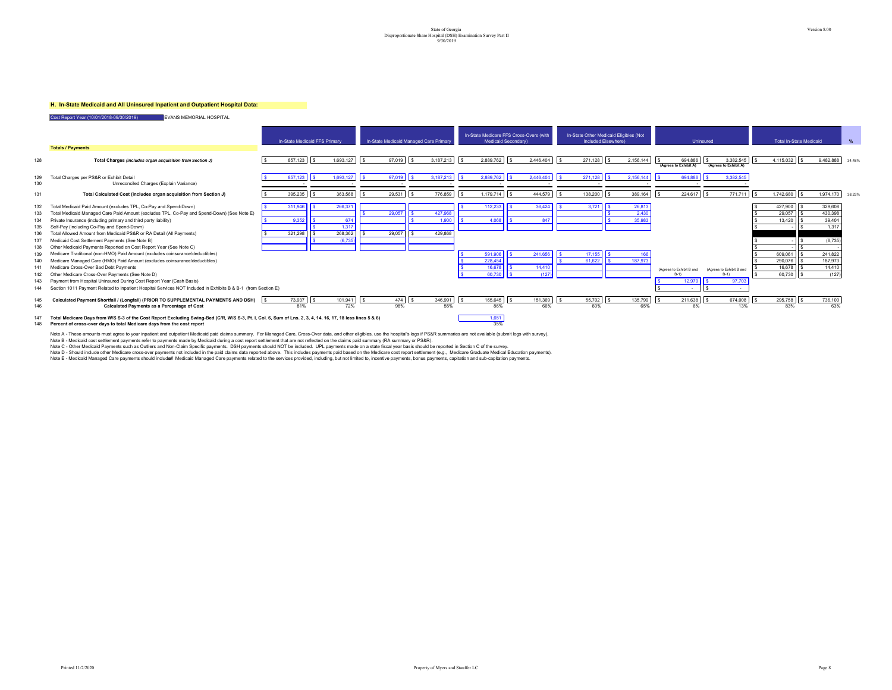#### **H. In-State Medicaid and All Uninsured Inpatient and Outpatient Hospital Data:**

Cost Report Year (10/01/2018-09/30/2019) EVANS MEMORIAL HOSPITAL

|            |                                                                                                                                                                                                                                       |               | In-State Medicaid FFS Primary | In-State Medicaid Managed Care Primary |            |                | In-State Medicare FFS Cross-Overs (with | Medicaid Secondary) |                | In-State Other Medicaid Eligibles (Not | Included Elsewhere) |                |                                         | Uninsured                                |          | <b>Total In-State Medicaid</b> |           |                     |
|------------|---------------------------------------------------------------------------------------------------------------------------------------------------------------------------------------------------------------------------------------|---------------|-------------------------------|----------------------------------------|------------|----------------|-----------------------------------------|---------------------|----------------|----------------------------------------|---------------------|----------------|-----------------------------------------|------------------------------------------|----------|--------------------------------|-----------|---------------------|
|            | <b>Totals / Payments</b>                                                                                                                                                                                                              |               |                               |                                        |            |                |                                         |                     |                |                                        |                     |                |                                         |                                          |          |                                |           |                     |
| 128        | Total Charges (includes organ acquisition from Section J)                                                                                                                                                                             | 857,123       | 1,693,127                     | 97,019                                 | $\sqrt{s}$ | 3.187.213      | 2.889.762<br>$\sqrt{2}$                 | $\sqrt{s}$          | 2.446.404      | 271,128                                | l s                 | 2,156,144      | 694,886<br>l s<br>(Agrees to Exhibit A) | 3,382,545<br>s.<br>(Agrees to Exhibit A) | <b>s</b> | 4,115,032 \$                   | 9,482,888 | 34.489              |
|            |                                                                                                                                                                                                                                       |               |                               |                                        |            |                |                                         |                     |                |                                        |                     |                |                                         |                                          |          |                                |           |                     |
| 129<br>130 | Total Charges per PS&R or Exhibit Detail<br>Unreconciled Charges (Explain Variance)                                                                                                                                                   | 857 123       | 1.693.127                     | 97 019                                 |            | 3 187 213      | 2.889.762                               |                     | 2.446.404      | 271.128                                |                     | 2.156.144      | 694.886                                 | 3.382.545                                |          |                                |           |                     |
|            |                                                                                                                                                                                                                                       |               |                               |                                        |            |                |                                         |                     |                |                                        |                     |                |                                         |                                          |          |                                |           |                     |
| 131        | Total Calculated Cost (includes organ acquisition from Section J)                                                                                                                                                                     | 395,235       | 363,568                       | 29,531                                 |            | 776,859        | 1,179,714                               | $\sqrt{s}$          | 444,579        | 138,200                                | l s                 | 389,164        | 224,617<br>l s                          | 771,711<br>l s                           |          | 1,742,680                      |           | 1,974,170<br>38.239 |
| 132        | Total Medicaid Paid Amount (excludes TPL, Co-Pay and Spend-Down)                                                                                                                                                                      | 311,946       | 266,37                        |                                        |            |                | 112,233                                 |                     | 36,424         | 3,721                                  |                     | 26,813         |                                         |                                          |          | 427,900                        | 329,608   |                     |
| 133        | Total Medicaid Managed Care Paid Amount (excludes TPL, Co-Pay and Spend-Down) (See Note E)                                                                                                                                            |               |                               | 29,057                                 |            | 427,968        |                                         |                     |                |                                        |                     | 2.430          |                                         |                                          |          | 29,057                         | 430,398   |                     |
| 134        | Private Insurance (including primary and third party liability)                                                                                                                                                                       | 9.352         | 674                           |                                        |            | 1.900          | 4.068                                   |                     | 847            |                                        |                     | 35,983         |                                         |                                          |          | 13,420                         |           | 39,404              |
| 135        | Self-Pay (including Co-Pay and Spend-Down)                                                                                                                                                                                            |               | 1,317                         |                                        |            |                |                                         |                     |                |                                        |                     |                |                                         |                                          |          |                                |           | 1,317               |
| 136        | Total Allowed Amount from Medicaid PS&R or RA Detail (All Payments)                                                                                                                                                                   | 321,298       | 268,362                       | 29,057                                 |            | 429,868        |                                         |                     |                |                                        |                     |                |                                         |                                          |          |                                |           |                     |
| 137        | Medicaid Cost Settlement Payments (See Note B)                                                                                                                                                                                        |               | (6, 735)                      |                                        |            |                |                                         |                     |                |                                        |                     |                |                                         |                                          |          |                                |           | (6,735)             |
| 138        | Other Medicaid Payments Reported on Cost Report Year (See Note C)                                                                                                                                                                     |               |                               |                                        |            |                |                                         |                     |                |                                        |                     |                |                                         |                                          |          |                                |           |                     |
| 139        | Medicare Traditional (non-HMO) Paid Amount (excludes coinsurance/deductibles)                                                                                                                                                         |               |                               |                                        |            |                | 591,90                                  |                     | 241,656        | 17,155                                 |                     |                |                                         |                                          |          | 609.061                        | 241.822   |                     |
| 140        | Medicare Managed Care (HMO) Paid Amount (excludes coinsurance/deductibles)                                                                                                                                                            |               |                               |                                        |            |                | 228,454                                 |                     |                | 61.622                                 |                     | 187,973        |                                         |                                          |          | 290.076                        |           | 187,973             |
| 141        | Medicare Cross-Over Bad Debt Payments                                                                                                                                                                                                 |               |                               |                                        |            |                | 16,678                                  |                     | 14,410         |                                        |                     |                | (Agrees to Exhibit B and                | (Agrees to Exhibit B and                 |          | 16.678                         |           | 14,410              |
| 142        | Other Medicare Cross-Over Payments (See Note D)                                                                                                                                                                                       |               |                               |                                        |            |                | 60.730                                  |                     | (127           |                                        |                     |                | $B-1$                                   |                                          |          | 60,730                         |           | (127)               |
| 143        | Payment from Hospital Uninsured During Cost Report Year (Cash Basis)                                                                                                                                                                  |               |                               |                                        |            |                |                                         |                     |                |                                        |                     |                | 12.97                                   | 97.70                                    |          |                                |           |                     |
| 144        | 1011 Payment Related to Inpatient Hospital Services NOT Included in Exhibits B & B-1 (from Section E)<br>Section                                                                                                                      |               |                               |                                        |            |                |                                         |                     |                |                                        |                     |                |                                         |                                          |          |                                |           |                     |
| 145<br>146 | Calculated Payment Shortfall / (Longfall) (PRIOR TO SUPPLEMENTAL PAYMENTS AND DSH)<br>Calculated Payments as a Percentage of Cost                                                                                                     | 73.937<br>81% | 101,941<br>72%                | 98%                                    |            | 346,991<br>55% | 165,645<br>86%                          |                     | 151,369<br>66% | 60%                                    |                     | 135,799<br>65% | 211,638                                 | 674,008<br>13%                           |          | 295,758 \$<br>83%              | 736,100   | 63%                 |
| 147<br>148 | Total Medicare Days from W/S S-3 of the Cost Report Excluding Swing-Bed (C/R, W/S S-3, Pt. I, Col. 6, Sum of Lns. 2, 3, 4, 14, 16, 17, 18 less lines 5 & 6)<br>Percent of cross-over days to total Medicare days from the cost report |               |                               |                                        |            |                | 1,651<br>35%                            |                     |                |                                        |                     |                |                                         |                                          |          |                                |           |                     |

Note A - These amounts must agree to your inpatient and outpatient Medicaid paid claims summary are not available outpating and the medical constants must be the hospitals over the medical paid of summary (RA summaries are